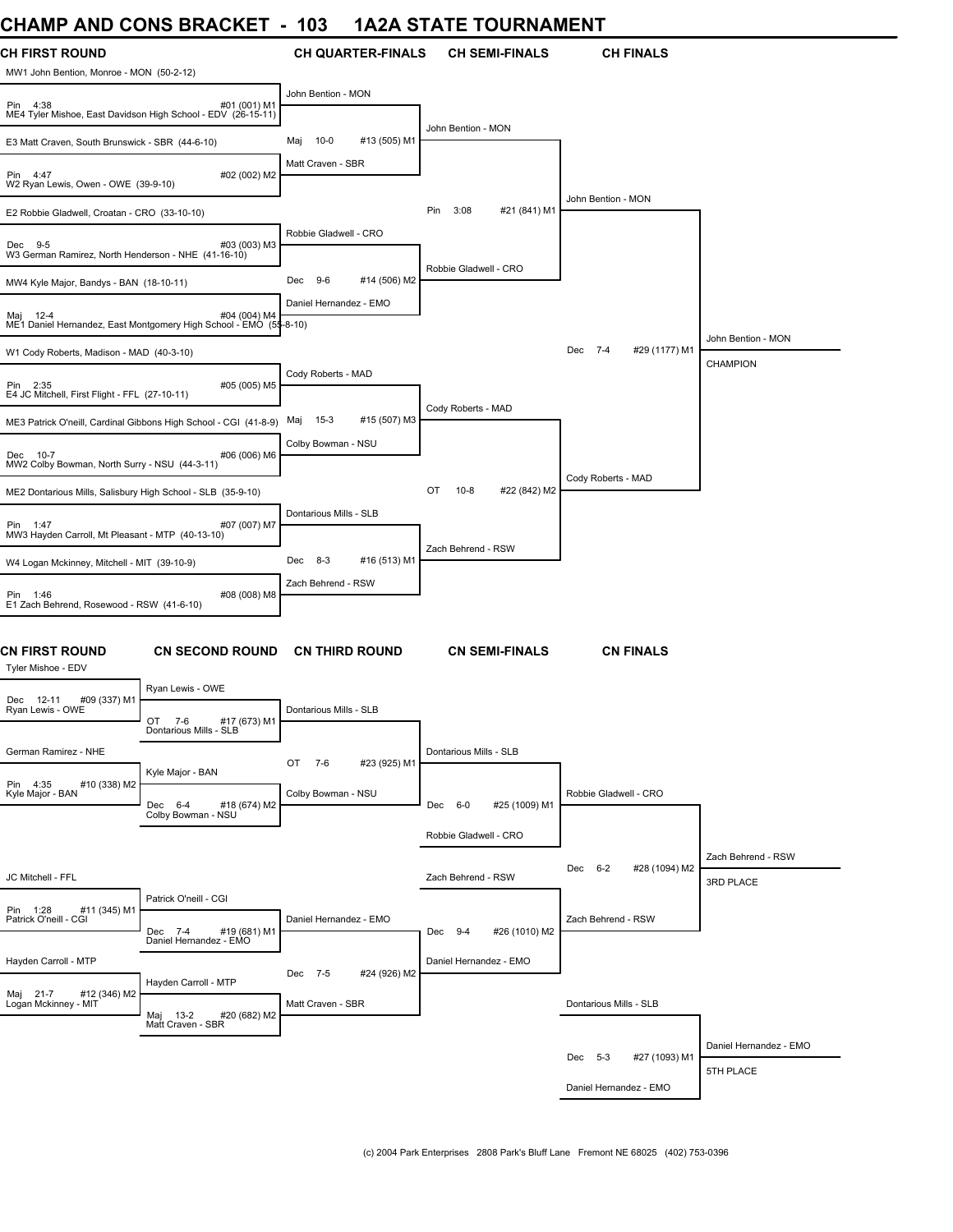## **CHAMP AND CONS BRACKET - 103 1A2A STATE TOURNAMENT**

| UNAIWIT AND UUNJ DRAUNEI                                          |                                                                                   | טעו                    |                          |                        | IAZA JIA IE IUURIVAIVIEN I |                                 |                        |
|-------------------------------------------------------------------|-----------------------------------------------------------------------------------|------------------------|--------------------------|------------------------|----------------------------|---------------------------------|------------------------|
| <b>CH FIRST ROUND</b><br>MW1 John Bention, Monroe - MON (50-2-12) |                                                                                   |                        | <b>CH QUARTER-FINALS</b> |                        | <b>CH SEMI-FINALS</b>      | <b>CH FINALS</b>                |                        |
| Pin 4:38                                                          | #01 (001) M1<br>ME4 Tyler Mishoe, East Davidson High School - EDV (26-15-11)      | John Bention - MON     |                          |                        |                            |                                 |                        |
| E3 Matt Craven, South Brunswick - SBR (44-6-10)                   |                                                                                   | $10 - 0$<br>Maj        | #13 (505) M1             | John Bention - MON     |                            |                                 |                        |
| Pin 4:47<br>W2 Ryan Lewis, Owen - OWE (39-9-10)                   | #02 (002) M2                                                                      | Matt Craven - SBR      |                          |                        |                            |                                 |                        |
| E2 Robbie Gladwell, Croatan - CRO (33-10-10)                      |                                                                                   |                        |                          | 3:08<br>Pin            | #21 (841) M1               | John Bention - MON              |                        |
| Dec 9-5<br>W3 German Ramirez, North Henderson - NHE (41-16-10)    | #03 (003) M3                                                                      | Robbie Gladwell - CRO  |                          |                        |                            |                                 |                        |
|                                                                   |                                                                                   | $9-6$<br>Dec           | #14 (506) M2             | Robbie Gladwell - CRO  |                            |                                 |                        |
| MW4 Kyle Major, Bandys - BAN (18-10-11)                           |                                                                                   | Daniel Hernandez - EMO |                          |                        |                            |                                 |                        |
| Maj 12-4                                                          | #04 (004) M4<br>ME1 Daniel Hernandez, East Montgomery High School - EMO (55-8-10) |                        |                          |                        |                            |                                 | John Bention - MON     |
| W1 Cody Roberts, Madison - MAD (40-3-10)                          |                                                                                   |                        |                          |                        |                            | Dec 7-4<br>#29 (1177) M1        | <b>CHAMPION</b>        |
| Pin 2:35<br>E4 JC Mitchell, First Flight - FFL (27-10-11)         | #05 (005) M5                                                                      | Cody Roberts - MAD     |                          |                        |                            |                                 |                        |
|                                                                   | ME3 Patrick O'neill, Cardinal Gibbons High School - CGI (41-8-9)                  | $15-3$<br>Maj          | #15 (507) M3             | Cody Roberts - MAD     |                            |                                 |                        |
| Dec 10-7<br>MW2 Colby Bowman, North Surry - NSU (44-3-11)         | #06 (006) M6                                                                      | Colby Bowman - NSU     |                          |                        |                            |                                 |                        |
|                                                                   |                                                                                   |                        |                          | $10 - 8$<br>OT         | #22 (842) M2               | Cody Roberts - MAD              |                        |
| ME2 Dontarious Mills, Salisbury High School - SLB (35-9-10)       |                                                                                   |                        |                          |                        |                            |                                 |                        |
| Pin 1:47<br>MW3 Hayden Carroll, Mt Pleasant - MTP (40-13-10)      | #07 (007) M7                                                                      | Dontarious Mills - SLB |                          | Zach Behrend - RSW     |                            |                                 |                        |
| W4 Logan Mckinney, Mitchell - MIT (39-10-9)                       |                                                                                   | $8-3$<br>Dec           | #16 (513) M1             |                        |                            |                                 |                        |
| Pin 1:46<br>E1 Zach Behrend, Rosewood - RSW (41-6-10)             | #08 (008) M8                                                                      | Zach Behrend - RSW     |                          |                        |                            |                                 |                        |
| <b>CN FIRST ROUND</b><br>Tyler Mishoe - EDV                       | <b>CN SECOND ROUND</b>                                                            |                        | <b>CN THIRD ROUND</b>    |                        | <b>CN SEMI-FINALS</b>      | <b>CN FINALS</b>                |                        |
| Dec 12-11<br>#09 (337) M1                                         | Ryan Lewis - OWE                                                                  |                        |                          |                        |                            |                                 |                        |
| Ryan Lewis - OWE                                                  | OT 7-6<br>#17 (673) M1<br>Dontarious Mills - SLB                                  | Dontarious Mills - SLB |                          |                        |                            |                                 |                        |
| German Ramirez - NHE                                              |                                                                                   | OT<br>7-6              | #23 (925) M1             | Dontarious Mills - SLB |                            |                                 |                        |
| Pin 4:35<br>#10 (338) M2<br>Kyle Major - BAN                      | Kyle Major - BAN                                                                  | Colby Bowman - NSU     |                          |                        |                            | Robbie Gladwell - CRO           |                        |
|                                                                   | Dec 6-4<br>#18 (674) M2<br>Colby Bowman - NSU                                     |                        |                          | Dec 6-0                | #25 (1009) M1              |                                 |                        |
|                                                                   |                                                                                   |                        |                          | Robbie Gladwell - CRO  |                            |                                 |                        |
|                                                                   |                                                                                   |                        |                          |                        |                            | $6 - 2$<br>#28 (1094) M2<br>Dec | Zach Behrend - RSW     |
| JC Mitchell - FFL                                                 |                                                                                   |                        |                          | Zach Behrend - RSW     |                            |                                 | 3RD PLACE              |
| Pin 1:28<br>#11 (345) M1<br>Patrick O'neill - CGI                 | Patrick O'neill - CGI<br>Dec 7-4<br>#19 (681) M1                                  | Daniel Hernandez - EMO |                          | Dec 9-4                | #26 (1010) M2              | Zach Behrend - RSW              |                        |
|                                                                   | Daniel Hernandez - EMO                                                            |                        |                          |                        |                            |                                 |                        |
| Hayden Carroll - MTP                                              |                                                                                   | Dec 7-5                | #24 (926) M2             | Daniel Hernandez - EMO |                            |                                 |                        |
| Maj 21-7<br>#12 (346) M2<br>Logan Mckinney - MIT                  | Hayden Carroll - MTP<br>Maj 13-2<br>#20 (682) M2                                  | Matt Craven - SBR      |                          |                        |                            | Dontarious Mills - SLB          |                        |
|                                                                   | Matt Craven - SBR                                                                 |                        |                          |                        |                            |                                 |                        |
|                                                                   |                                                                                   |                        |                          |                        |                            | #27 (1093) M1<br>Dec 5-3        | Daniel Hernandez - EMO |
|                                                                   |                                                                                   |                        |                          |                        |                            | Daniel Hernandez - EMO          | 5TH PLACE              |
|                                                                   |                                                                                   |                        |                          |                        |                            |                                 |                        |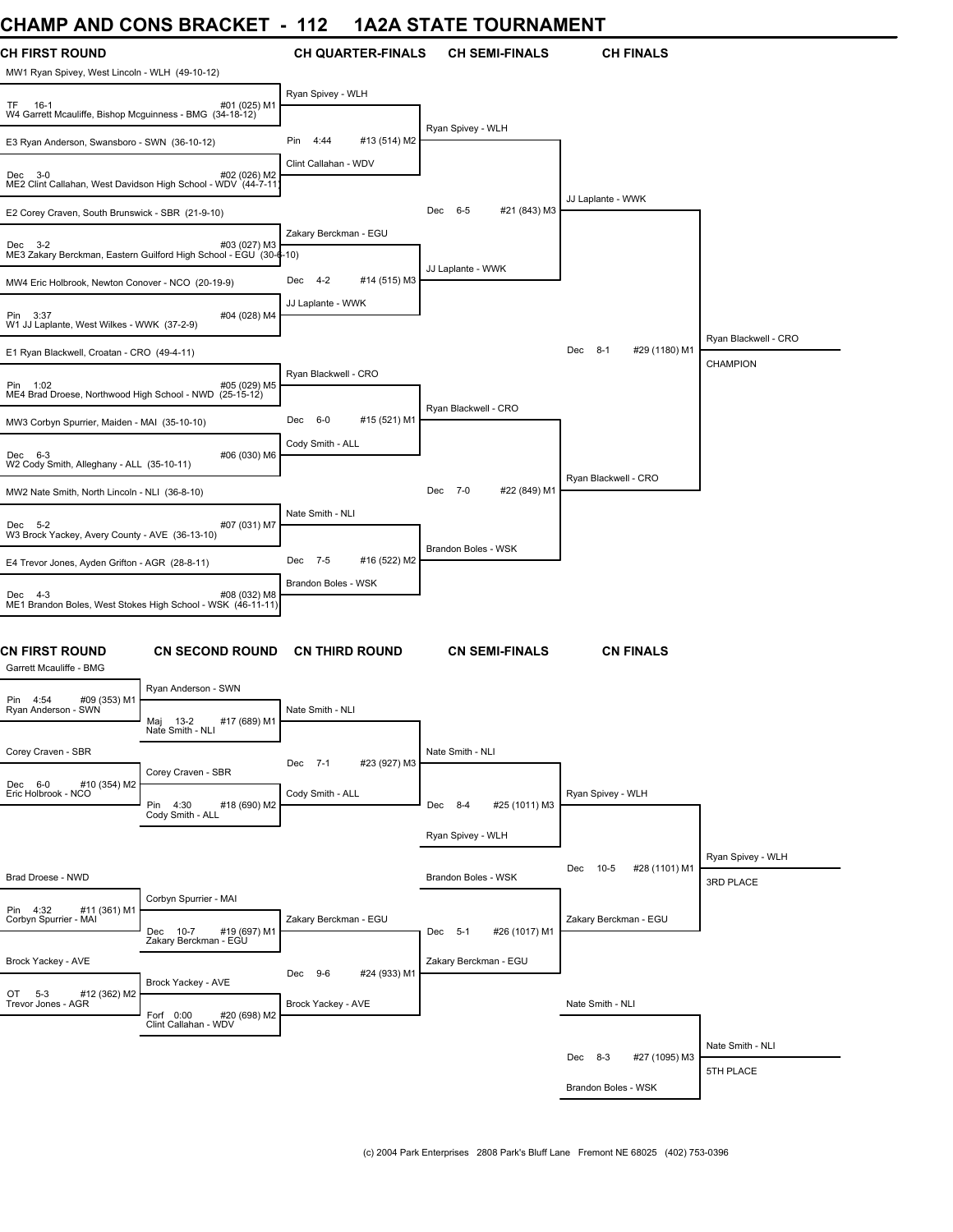## **CHAMP AND CONS BRACKET - 112 1A2A STATE TOURNAMENT**

| ,,,,,,,,                                                                | --                                                                                |                             | ───<br>19911177111711    |                                 |                                  |
|-------------------------------------------------------------------------|-----------------------------------------------------------------------------------|-----------------------------|--------------------------|---------------------------------|----------------------------------|
| <b>CH FIRST ROUND</b><br>MW1 Ryan Spivey, West Lincoln - WLH (49-10-12) |                                                                                   | <b>CH QUARTER-FINALS</b>    | <b>CH SEMI-FINALS</b>    | <b>CH FINALS</b>                |                                  |
| TF 16-1<br>W4 Garrett Mcauliffe, Bishop Mcguinness - BMG (34-18-12)     | #01 (025) M1                                                                      | Ryan Spivey - WLH           |                          |                                 |                                  |
| E3 Ryan Anderson, Swansboro - SWN (36-10-12)                            |                                                                                   | #13 (514) M2<br>Pin<br>4:44 | Ryan Spivey - WLH        |                                 |                                  |
| Dec 3-0                                                                 | #02 (026) M2<br>ME2 Clint Callahan, West Davidson High School - WDV (44-7-11      | Clint Callahan - WDV        |                          |                                 |                                  |
| E2 Corey Craven, South Brunswick - SBR (21-9-10)                        |                                                                                   |                             | #21 (843) M3<br>Dec 6-5  | JJ Laplante - WWK               |                                  |
| Dec 3-2                                                                 | #03 (027) M3<br>ME3 Zakary Berckman, Eastern Guilford High School - EGU (30-6-10) | Zakary Berckman - EGU       |                          |                                 |                                  |
| MW4 Eric Holbrook, Newton Conover - NCO (20-19-9)                       |                                                                                   | 4-2<br>#14 (515) M3<br>Dec  | JJ Laplante - WWK        |                                 |                                  |
| Pin 3:37<br>W1 JJ Laplante, West Wilkes - WWK (37-2-9)                  | #04 (028) M4                                                                      | JJ Laplante - WWK           |                          |                                 |                                  |
| E1 Ryan Blackwell, Croatan - CRO (49-4-11)                              |                                                                                   |                             |                          | $8 - 1$<br>#29 (1180) M1<br>Dec | Ryan Blackwell - CRO<br>CHAMPION |
| Pin 1:02<br>ME4 Brad Droese, Northwood High School - NWD (25-15-12)     | #05 (029) M5                                                                      | Ryan Blackwell - CRO        | Ryan Blackwell - CRO     |                                 |                                  |
| MW3 Corbyn Spurrier, Maiden - MAI (35-10-10)                            |                                                                                   | #15 (521) M1<br>Dec<br>6-0  |                          |                                 |                                  |
| Dec 6-3<br>W2 Cody Smith, Alleghany - ALL (35-10-11)                    | #06 (030) M6                                                                      | Cody Smith - ALL            |                          | Ryan Blackwell - CRO            |                                  |
| MW2 Nate Smith, North Lincoln - NLI (36-8-10)                           |                                                                                   |                             | #22 (849) M1<br>Dec 7-0  |                                 |                                  |
| Dec 5-2<br>W3 Brock Yackey, Avery County - AVE (36-13-10)               | #07 (031) M7                                                                      | Nate Smith - NLI            |                          |                                 |                                  |
| E4 Trevor Jones, Ayden Grifton - AGR (28-8-11)                          |                                                                                   | Dec 7-5<br>#16 (522) M2     | Brandon Boles - WSK      |                                 |                                  |
| Dec 4-3                                                                 | #08 (032) M8<br>ME1 Brandon Boles, West Stokes High School - WSK (46-11-11)       | Brandon Boles - WSK         |                          |                                 |                                  |
| <b>CN FIRST ROUND</b><br>Garrett Mcauliffe - BMG                        | <b>CN SECOND ROUND</b>                                                            | <b>CN THIRD ROUND</b>       | <b>CN SEMI-FINALS</b>    | <b>CN FINALS</b>                |                                  |
| #09 (353) M1<br>Pin 4:54                                                | Ryan Anderson - SWN                                                               |                             |                          |                                 |                                  |
| Ryan Anderson - SWN                                                     | Maj<br>$13 - 2$<br>#17 (689) M1<br>Nate Smith - NLI                               | Nate Smith - NLI            |                          |                                 |                                  |
| Corey Craven - SBR                                                      | Corey Craven - SBR                                                                | Dec 7-1<br>#23 (927) M3     | Nate Smith - NLI         |                                 |                                  |
| Dec 6-0<br>#10 (354) M2<br>Eric Holbrook - NCO                          | Pin 4:30<br>#18 (690) M2<br>Cody Smith - ALL                                      | Cody Smith - ALL            | Dec 8-4<br>#25 (1011) M3 | Ryan Spivey - WLH               |                                  |
|                                                                         |                                                                                   |                             | Ryan Spivey - WLH        |                                 |                                  |
| Brad Droese - NWD                                                       |                                                                                   |                             | Brandon Boles - WSK      | $10-5$<br>#28 (1101) M1<br>Dec  | Ryan Spivey - WLH<br>3RD PLACE   |
| Pin 4:32<br>#11 (361) M1<br>Corbyn Spurrier - MAI                       | Corbyn Spurrier - MAI<br>#19 (697) M1<br>Dec 10-7                                 | Zakary Berckman - EGU       | #26 (1017) M1<br>Dec 5-1 | Zakary Berckman - EGU           |                                  |
|                                                                         | Zakary Berckman - EGU                                                             |                             |                          |                                 |                                  |
| Brock Yackey - AVE                                                      | Brock Yackey - AVE                                                                | Dec 9-6<br>#24 (933) M1     | Zakary Berckman - EGU    |                                 |                                  |
| OT 5-3<br>#12 (362) M2<br>Trevor Jones - AGR                            | Forf 0:00<br>#20 (698) M2<br>Clint Callahan - WDV                                 | Brock Yackey - AVE          |                          | Nate Smith - NLI                |                                  |
|                                                                         |                                                                                   |                             |                          | Dec 8-3<br>#27 (1095) M3        | Nate Smith - NLI                 |
|                                                                         |                                                                                   |                             |                          | Brandon Boles - WSK             | 5TH PLACE                        |
|                                                                         |                                                                                   |                             |                          |                                 |                                  |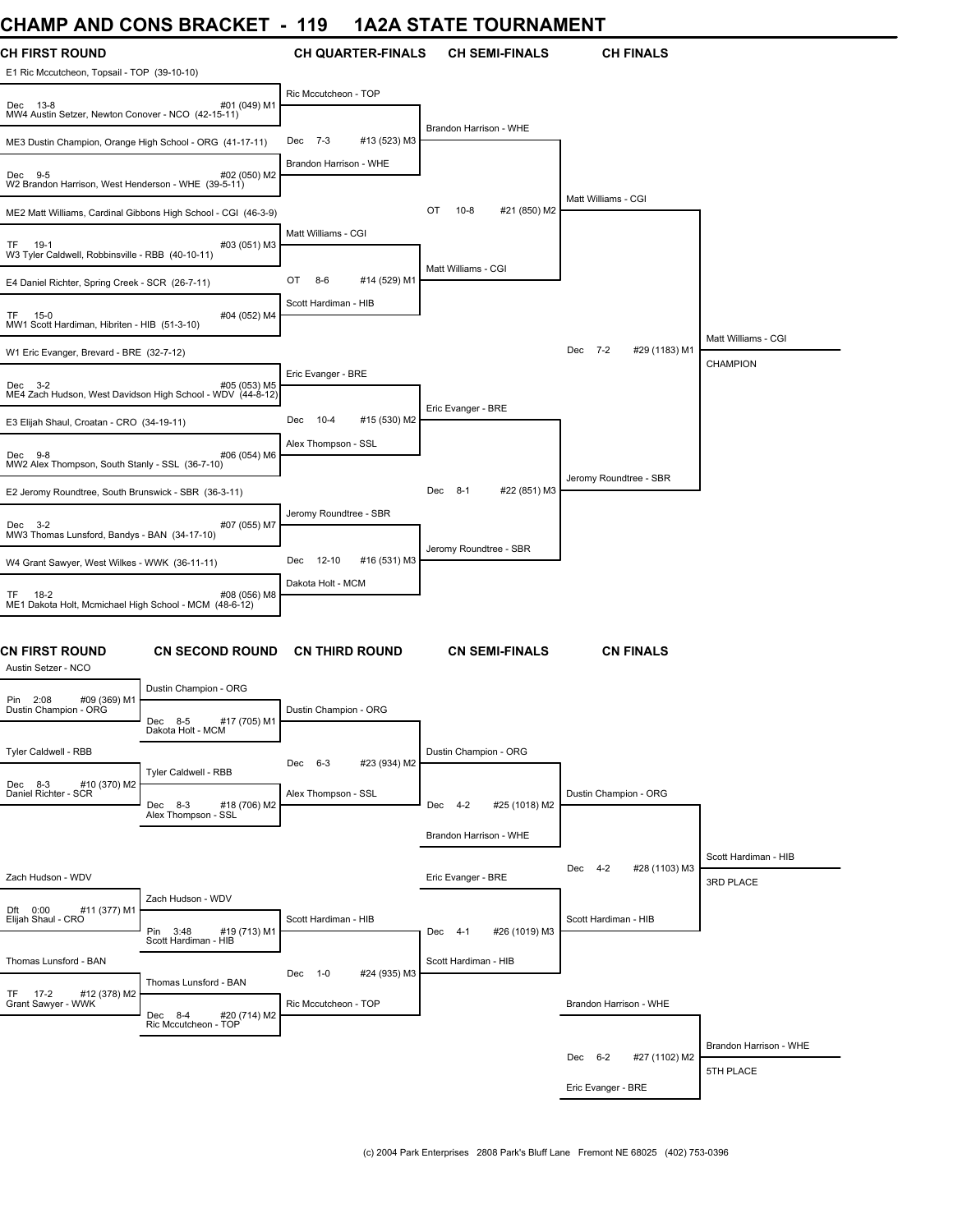## **CHAMP AND CONS BRACKET - 119 1A2A STATE TOURNAMENT**

| <b>UIMME AND VUNJ DRAVNLI</b>                                         |                                                                            | I I J                  |                          |                        | IAZA JIATE TUUNNAMENT |                          |                        |
|-----------------------------------------------------------------------|----------------------------------------------------------------------------|------------------------|--------------------------|------------------------|-----------------------|--------------------------|------------------------|
| <b>CH FIRST ROUND</b><br>E1 Ric Mccutcheon, Topsail - TOP (39-10-10)  |                                                                            |                        | <b>CH QUARTER-FINALS</b> |                        | <b>CH SEMI-FINALS</b> | <b>CH FINALS</b>         |                        |
| Dec 13-8<br>MW4 Austin Setzer, Newton Conover - NCO (42-15-11)        | #01 (049) M1                                                               | Ric Mccutcheon - TOP   |                          |                        |                       |                          |                        |
| ME3 Dustin Champion, Orange High School - ORG (41-17-11)              |                                                                            | Dec 7-3                | #13 (523) M3             | Brandon Harrison - WHE |                       |                          |                        |
| Dec 9-5<br>W2 Brandon Harrison, West Henderson - WHE (39-5-11)        | #02 (050) M2                                                               | Brandon Harrison - WHE |                          |                        |                       |                          |                        |
|                                                                       | ME2 Matt Williams, Cardinal Gibbons High School - CGI (46-3-9)             |                        |                          | OT<br>$10 - 8$         | #21 (850) M2          | Matt Williams - CGI      |                        |
| 19-1<br>TF.<br>W3 Tyler Caldwell, Robbinsville - RBB (40-10-11)       | #03 (051) M3                                                               | Matt Williams - CGI    |                          |                        |                       |                          |                        |
| E4 Daniel Richter, Spring Creek - SCR (26-7-11)                       |                                                                            | OT<br>$8-6$            | #14 (529) M1             | Matt Williams - CGI    |                       |                          |                        |
| TF<br>15-0<br>MW1 Scott Hardiman, Hibriten - HIB (51-3-10)            | #04 (052) M4                                                               | Scott Hardiman - HIB   |                          |                        |                       |                          |                        |
| W1 Eric Evanger, Brevard - BRE (32-7-12)                              |                                                                            |                        |                          |                        |                       | Dec 7-2<br>#29 (1183) M1 | Matt Williams - CGI    |
|                                                                       |                                                                            | Eric Evanger - BRE     |                          |                        |                       |                          | <b>CHAMPION</b>        |
| Dec 3-2                                                               | #05 (053) M5<br>ME4 Zach Hudson, West Davidson High School - WDV (44-8-12) |                        |                          | Eric Evanger - BRE     |                       |                          |                        |
| E3 Elijah Shaul, Croatan - CRO (34-19-11)                             |                                                                            | Dec<br>10-4            | #15 (530) M2             |                        |                       |                          |                        |
| Dec 9-8<br>MW2 Alex Thompson, South Stanly - SSL (36-7-10)            | #06 (054) M6                                                               | Alex Thompson - SSL    |                          |                        |                       | Jeromy Roundtree - SBR   |                        |
| E2 Jeromy Roundtree, South Brunswick - SBR (36-3-11)                  |                                                                            |                        |                          | Dec 8-1                | #22 (851) M3          |                          |                        |
| Dec 3-2<br>MW3 Thomas Lunsford, Bandys - BAN (34-17-10)               | #07 (055) M7                                                               | Jeromy Roundtree - SBR |                          |                        |                       |                          |                        |
| W4 Grant Sawyer, West Wilkes - WWK (36-11-11)                         |                                                                            | 12-10<br>Dec           | #16 (531) M3             | Jeromy Roundtree - SBR |                       |                          |                        |
| 18-2<br>TF.<br>ME1 Dakota Holt, Mcmichael High School - MCM (48-6-12) | #08 (056) M8                                                               | Dakota Holt - MCM      |                          |                        |                       |                          |                        |
| CN FIRST ROUND<br>Austin Setzer - NCO                                 | <b>CN SECOND ROUND</b>                                                     |                        | <b>CN THIRD ROUND</b>    |                        | <b>CN SEMI-FINALS</b> | <b>CN FINALS</b>         |                        |
| Pin 2:08<br>#09 (369) M1                                              | Dustin Champion - ORG                                                      |                        |                          |                        |                       |                          |                        |
| Dustin Champion - ORG                                                 | Dec<br>$8 - 5$<br>#17 (705) M1<br>Dakota Holt - MCM                        | Dustin Champion - ORG  |                          |                        |                       |                          |                        |
| Tyler Caldwell - RBB                                                  |                                                                            | Dec 6-3                | #23 (934) M2             | Dustin Champion - ORG  |                       |                          |                        |
| #10 (370) M2<br>Dec 8-3<br>Daniel Richter - SCR                       | Tyler Caldwell - RBB<br>Dec 8-3<br>#18 (706) M2                            | Alex Thompson - SSL    |                          | Dec 4-2                | #25 (1018) M2         | Dustin Champion - ORG    |                        |
|                                                                       | Alex Thompson - SSL                                                        |                        |                          |                        |                       |                          |                        |
|                                                                       |                                                                            |                        |                          | Brandon Harrison - WHE |                       |                          |                        |
| Zach Hudson - WDV                                                     |                                                                            |                        |                          |                        |                       | Dec 4-2<br>#28 (1103) M3 | Scott Hardiman - HIB   |
|                                                                       | Zach Hudson - WDV                                                          |                        |                          | Eric Evanger - BRE     |                       |                          | 3RD PLACE              |
| #11 (377) M1<br>Dft 0:00<br>Elijah Shaul - CRO                        | Pin 3:48<br>#19 (713) M1                                                   | Scott Hardiman - HIB   |                          | Dec 4-1                | #26 (1019) M3         | Scott Hardiman - HIB     |                        |
| Thomas Lunsford - BAN                                                 | Scott Hardiman - HIB                                                       |                        |                          | Scott Hardiman - HIB   |                       |                          |                        |
|                                                                       | Thomas Lunsford - BAN                                                      | Dec 1-0                | #24 (935) M3             |                        |                       |                          |                        |
| $17-2$<br>#12 (378) M2<br>TF.<br>Grant Sawyer - WWK                   | Dec 8-4<br>#20 (714) M2<br>Ric Mccutcheon - TOP                            | Ric Mccutcheon - TOP   |                          |                        |                       | Brandon Harrison - WHE   |                        |
|                                                                       |                                                                            |                        |                          |                        |                       |                          | Brandon Harrison - WHE |
|                                                                       |                                                                            |                        |                          |                        |                       | Dec 6-2<br>#27 (1102) M2 | 5TH PLACE              |
|                                                                       |                                                                            |                        |                          |                        |                       | Eric Evanger - BRE       |                        |
|                                                                       |                                                                            |                        |                          |                        |                       |                          |                        |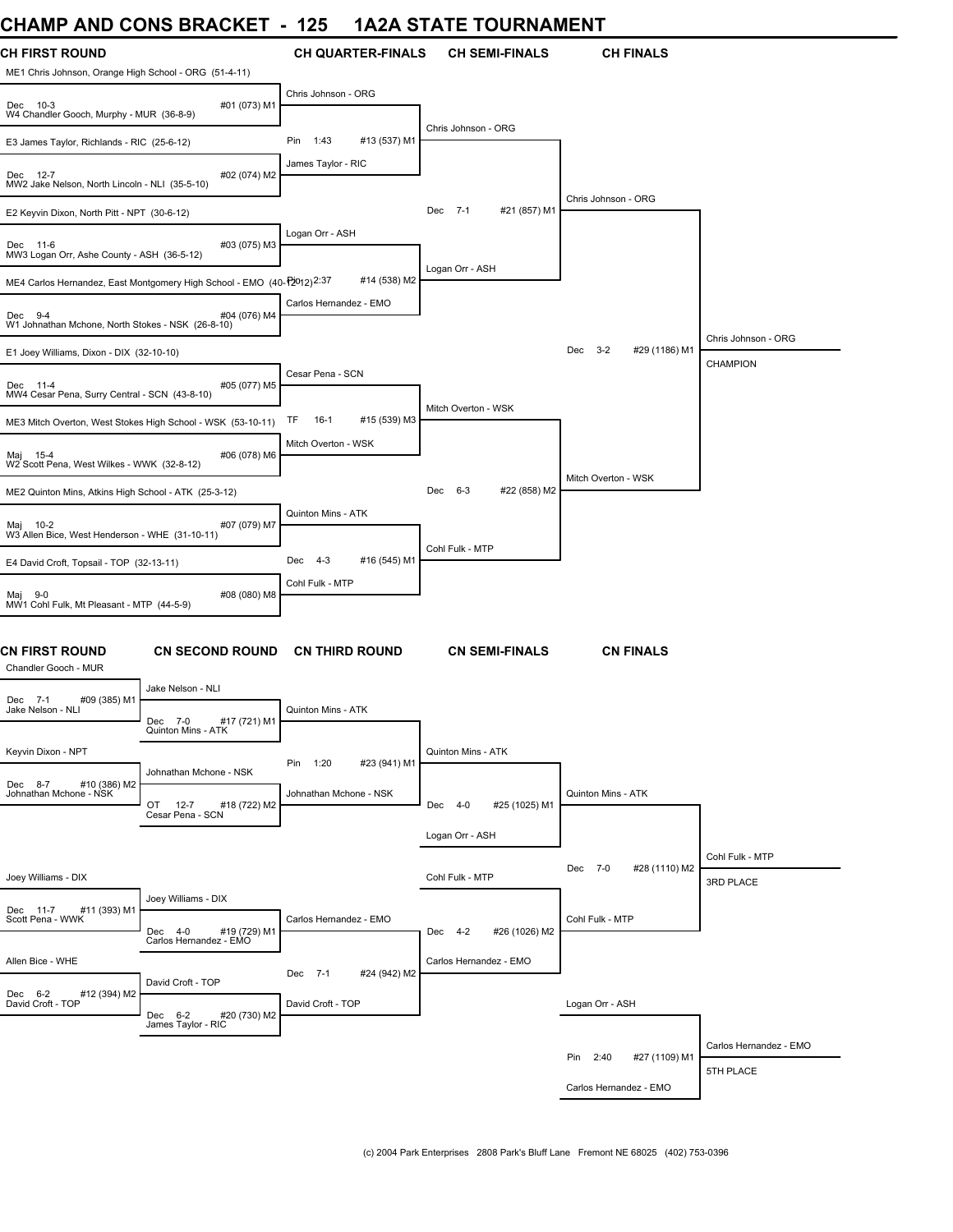## **CHAMP AND CONS BRACKET - 125 1A2A STATE TOURNAMENT**

| CHAINT AND CONS BRACKET                                                        |                                                                        | 149                          | <u>IAZA JIA IE IUUNNAMENI</u> |                                 |                        |
|--------------------------------------------------------------------------------|------------------------------------------------------------------------|------------------------------|-------------------------------|---------------------------------|------------------------|
| <b>CH FIRST ROUND</b><br>ME1 Chris Johnson, Orange High School - ORG (51-4-11) |                                                                        | <b>CH QUARTER-FINALS</b>     | <b>CH SEMI-FINALS</b>         | <b>CH FINALS</b>                |                        |
| Dec 10-3<br>W4 Chandler Gooch, Murphy - MUR (36-8-9)                           | #01 (073) M1                                                           | Chris Johnson - ORG          |                               |                                 |                        |
| E3 James Taylor, Richlands - RIC (25-6-12)                                     |                                                                        | 1:43<br>Pin<br>#13 (537) M1  | Chris Johnson - ORG           |                                 |                        |
| Dec 12-7<br>MW2 Jake Nelson, North Lincoln - NLI (35-5-10)                     | #02 (074) M2                                                           | James Taylor - RIC           |                               |                                 |                        |
| E2 Keyvin Dixon, North Pitt - NPT (30-6-12)                                    |                                                                        |                              | Dec 7-1<br>#21 (857) M1       | Chris Johnson - ORG             |                        |
| Dec 11-6<br>MW3 Logan Orr, Ashe County - ASH (36-5-12)                         | #03 (075) M3                                                           | Logan Orr - ASH              |                               |                                 |                        |
|                                                                                | ME4 Carlos Hernandez, East Montgomery High School - EMO (40-12012)2:37 | #14 (538) M2                 | Logan Orr - ASH               |                                 |                        |
| Dec 9-4<br>W1 Johnathan Mchone, North Stokes - NSK (26-8-10)                   | #04 (076) M4                                                           | Carlos Hernandez - EMO       |                               |                                 |                        |
| E1 Joey Williams, Dixon - DIX (32-10-10)                                       |                                                                        |                              |                               | $3 - 2$<br>#29 (1186) M1<br>Dec | Chris Johnson - ORG    |
|                                                                                |                                                                        | Cesar Pena - SCN             |                               |                                 | <b>CHAMPION</b>        |
| Dec 11-4<br>MW4 Cesar Pena, Surry Central - SCN (43-8-10)                      | #05 (077) M5                                                           |                              |                               |                                 |                        |
| ME3 Mitch Overton, West Stokes High School - WSK (53-10-11)                    |                                                                        | TF<br>$16-1$<br>#15 (539) M3 | Mitch Overton - WSK           |                                 |                        |
| Maj 15-4<br>W2 Scott Pena, West Wilkes - WWK (32-8-12)                         | #06 (078) M6                                                           | Mitch Overton - WSK          |                               |                                 |                        |
| ME2 Quinton Mins, Atkins High School - ATK (25-3-12)                           |                                                                        |                              | #22 (858) M2<br>Dec<br>6-3    | Mitch Overton - WSK             |                        |
| Maj 10-2<br>W3 Allen Bice, West Henderson - WHE (31-10-11)                     | #07 (079) M7                                                           | Quinton Mins - ATK           |                               |                                 |                        |
| E4 David Croft, Topsail - TOP (32-13-11)                                       |                                                                        | Dec 4-3<br>#16 (545) M1      | Cohl Fulk - MTP               |                                 |                        |
| Maj 9-0<br>MW1 Cohl Fulk, Mt Pleasant - MTP (44-5-9)                           | #08 (080) M8                                                           | Cohl Fulk - MTP              |                               |                                 |                        |
| CN FIRST ROUND<br>Chandler Gooch - MUR                                         | <b>CN SECOND ROUND</b>                                                 | <b>CN THIRD ROUND</b>        | <b>CN SEMI-FINALS</b>         | <b>CN FINALS</b>                |                        |
| Dec 7-1<br>#09 (385) M1                                                        | Jake Nelson - NLI                                                      |                              |                               |                                 |                        |
| Jake Nelson - NLI                                                              | Dec 7-0<br>#17 (721) M1<br>Quinton Mins - ATK                          | Quinton Mins - ATK           |                               |                                 |                        |
| Keyvin Dixon - NPT                                                             |                                                                        | Pin 1:20<br>#23 (941) M1     | Quinton Mins - ATK            |                                 |                        |
| Dec 8-7 #10 (386) M2<br>Johnathan Mchone - NSK                                 | Johnathan Mchone - NSK<br>OT 12-7<br>#18 (722) M2<br>Cesar Pena - SCN  | Johnathan Mchone - NSK       | Dec 4-0<br>#25 (1025) M1      | Quinton Mins - ATK              |                        |
|                                                                                |                                                                        |                              | Logan Orr - ASH               |                                 |                        |
|                                                                                |                                                                        |                              |                               |                                 | Cohl Fulk - MTP        |
| Joey Williams - DIX                                                            |                                                                        |                              | Cohl Fulk - MTP               | Dec 7-0<br>#28 (1110) M2        | 3RD PLACE              |
| #11 (393) M1<br>Dec 11-7                                                       | Joey Williams - DIX                                                    |                              |                               |                                 |                        |
| Scott Pena - WWK                                                               | #19 (729) M1<br>Dec 4-0                                                | Carlos Hernandez - EMO       | #26 (1026) M2<br>Dec 4-2      | Cohl Fulk - MTP                 |                        |
| Allen Bice - WHE                                                               | Carlos Hernandez - EMO                                                 |                              | Carlos Hernandez - EMO        |                                 |                        |
|                                                                                | David Croft - TOP                                                      | Dec 7-1<br>#24 (942) M2      |                               |                                 |                        |
| Dec 6-2<br>David Croft - TOP<br>#12 (394) M2                                   | Dec 6-2<br>#20 (730) M2<br>James Taylor - RIC                          | David Croft - TOP            |                               | Logan Orr - ASH                 |                        |
|                                                                                |                                                                        |                              |                               |                                 | Carlos Hernandez - EMO |
|                                                                                |                                                                        |                              |                               | #27 (1109) M1<br>Pin 2:40       | 5TH PLACE              |
|                                                                                |                                                                        |                              |                               | Carlos Hernandez - EMO          |                        |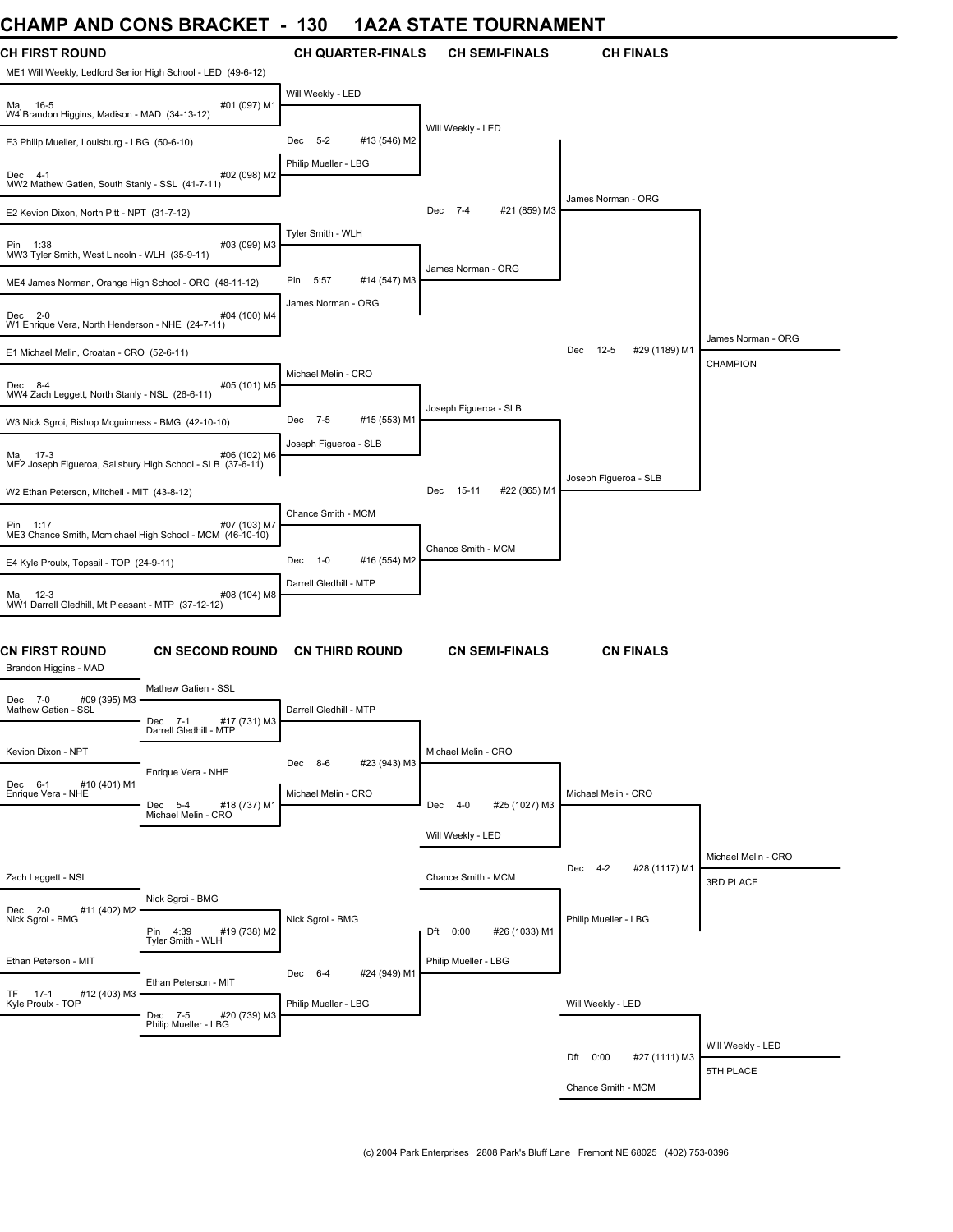## **CHAMP AND CONS BRACKET - 130 1A2A STATE TOURNAMENT**

| ᄓᇅᇅ                                                                                  | <b>AIND ACINA DIVANILE</b>                        | טטו                    |                          | IAZA STATE TOONNAMENT |                       |                                 |                     |
|--------------------------------------------------------------------------------------|---------------------------------------------------|------------------------|--------------------------|-----------------------|-----------------------|---------------------------------|---------------------|
| <b>CH FIRST ROUND</b><br>ME1 Will Weekly, Ledford Senior High School - LED (49-6-12) |                                                   |                        | <b>CH QUARTER-FINALS</b> |                       | <b>CH SEMI-FINALS</b> | <b>CH FINALS</b>                |                     |
| Maj 16-5<br>W4 Brandon Higgins, Madison - MAD (34-13-12)                             | #01 (097) M1                                      | Will Weekly - LED      |                          |                       |                       |                                 |                     |
| E3 Philip Mueller, Louisburg - LBG (50-6-10)                                         |                                                   | $-5-2$<br>Dec          | #13 (546) M2             | Will Weekly - LED     |                       |                                 |                     |
| Dec 4-1<br>MW2 Mathew Gatien, South Stanly - SSL (41-7-11)                           | #02 (098) M2                                      | Philip Mueller - LBG   |                          |                       |                       |                                 |                     |
| E2 Kevion Dixon, North Pitt - NPT (31-7-12)                                          |                                                   |                        |                          | Dec 7-4               | #21 (859) M3          | James Norman - ORG              |                     |
| Pin 1:38<br>MW3 Tyler Smith, West Lincoln - WLH (35-9-11)                            | #03 (099) M3                                      | Tyler Smith - WLH      |                          |                       |                       |                                 |                     |
| ME4 James Norman, Orange High School - ORG (48-11-12)                                |                                                   | 5:57<br>Pin            | #14 (547) M3             | James Norman - ORG    |                       |                                 |                     |
| Dec 2-0<br>W1 Enrique Vera, North Henderson - NHE (24-7-11)                          | #04 (100) M4                                      | James Norman - ORG     |                          |                       |                       |                                 |                     |
|                                                                                      |                                                   |                        |                          |                       |                       |                                 | James Norman - ORG  |
| E1 Michael Melin, Croatan - CRO (52-6-11)                                            |                                                   |                        |                          |                       |                       | Dec<br>$12-5$<br>#29 (1189) M1  | <b>CHAMPION</b>     |
| Dec 8-4<br>MW4 Zach Leggett, North Stanly - NSL (26-6-11)                            | #05 (101) M5                                      | Michael Melin - CRO    |                          | Joseph Figueroa - SLB |                       |                                 |                     |
| W3 Nick Sgroi, Bishop Mcguinness - BMG (42-10-10)                                    |                                                   | Dec 7-5                | #15 (553) M1             |                       |                       |                                 |                     |
| Mai 17-3<br>ME2 Joseph Figueroa, Salisbury High School - SLB (37-6-11)               | #06 (102) M6                                      | Joseph Figueroa - SLB  |                          |                       |                       |                                 |                     |
| W2 Ethan Peterson, Mitchell - MIT (43-8-12)                                          |                                                   |                        |                          | 15-11<br>Dec          | #22 (865) M1          | Joseph Figueroa - SLB           |                     |
|                                                                                      |                                                   | Chance Smith - MCM     |                          |                       |                       |                                 |                     |
| Pin 1:17<br>ME3 Chance Smith, Mcmichael High School - MCM (46-10-10)                 | #07 (103) M7                                      |                        |                          |                       |                       |                                 |                     |
| E4 Kyle Proulx, Topsail - TOP (24-9-11)                                              |                                                   | $1 - 0$<br>Dec         | #16 (554) M2             | Chance Smith - MCM    |                       |                                 |                     |
| Maj 12-3<br>MW1 Darrell Gledhill, Mt Pleasant - MTP (37-12-12)                       | #08 (104) M8                                      | Darrell Gledhill - MTP |                          |                       |                       |                                 |                     |
| CN FIRST ROUND<br>Brandon Higgins - MAD                                              | CN SECOND ROUND CN THIRD ROUND                    |                        |                          |                       | <b>CN SEMI-FINALS</b> | <b>CN FINALS</b>                |                     |
|                                                                                      | Mathew Gatien - SSL                               |                        |                          |                       |                       |                                 |                     |
| #09 (395) M3<br>Dec 7-0<br>Mathew Gatien - SSL                                       | #17 (731) M3<br>Dec 7-1<br>Darrell Gledhill - MTP | Darrell Gledhill - MTP |                          |                       |                       |                                 |                     |
| Kevion Dixon - NPT                                                                   |                                                   | Dec 8-6                | #23 (943) M3             | Michael Melin - CRO   |                       |                                 |                     |
| #10 (401) M1<br>Dec 6-1                                                              | Enrique Vera - NHE                                |                        |                          |                       |                       |                                 |                     |
| Enrique Vera - NHE                                                                   | Dec 5-4<br>#18 (737) M1                           | Michael Melin - CRO    |                          | Dec 4-0               | #25 (1027) M3         | Michael Melin - CRO             |                     |
|                                                                                      | Michael Melin - CRO                               |                        |                          |                       |                       |                                 |                     |
|                                                                                      |                                                   |                        |                          | Will Weekly - LED     |                       |                                 |                     |
|                                                                                      |                                                   |                        |                          |                       |                       | $4 - 2$<br>#28 (1117) M1<br>Dec | Michael Melin - CRO |
| Zach Leggett - NSL                                                                   |                                                   |                        |                          | Chance Smith - MCM    |                       |                                 | 3RD PLACE           |
| Dec 2-0<br>#11 (402) M2<br>Nick Sgroi - BMG                                          | Nick Sgroi - BMG                                  | Nick Sgroi - BMG       |                          |                       |                       | Philip Mueller - LBG            |                     |
|                                                                                      | Pin 4:39<br>#19 (738) M2<br>Tyler Smith - WLH     |                        |                          | Dft 0:00              | #26 (1033) M1         |                                 |                     |
| Ethan Peterson - MIT                                                                 |                                                   |                        |                          | Philip Mueller - LBG  |                       |                                 |                     |
|                                                                                      | Ethan Peterson - MIT                              | Dec 6-4                | #24 (949) M1             |                       |                       |                                 |                     |
| TF 17-1 #<br>Kyle Proulx - TOP<br>#12 (403) M3                                       | #20 (739) M3<br>Dec 7-5<br>Philip Mueller - LBG   | Philip Mueller - LBG   |                          |                       |                       | Will Weekly - LED               |                     |
|                                                                                      |                                                   |                        |                          |                       |                       |                                 | Will Weekly - LED   |
|                                                                                      |                                                   |                        |                          |                       |                       | Dft 0:00<br>#27 (1111) M3       | 5TH PLACE           |
|                                                                                      |                                                   |                        |                          |                       |                       | Chance Smith - MCM              |                     |
|                                                                                      |                                                   |                        |                          |                       |                       |                                 |                     |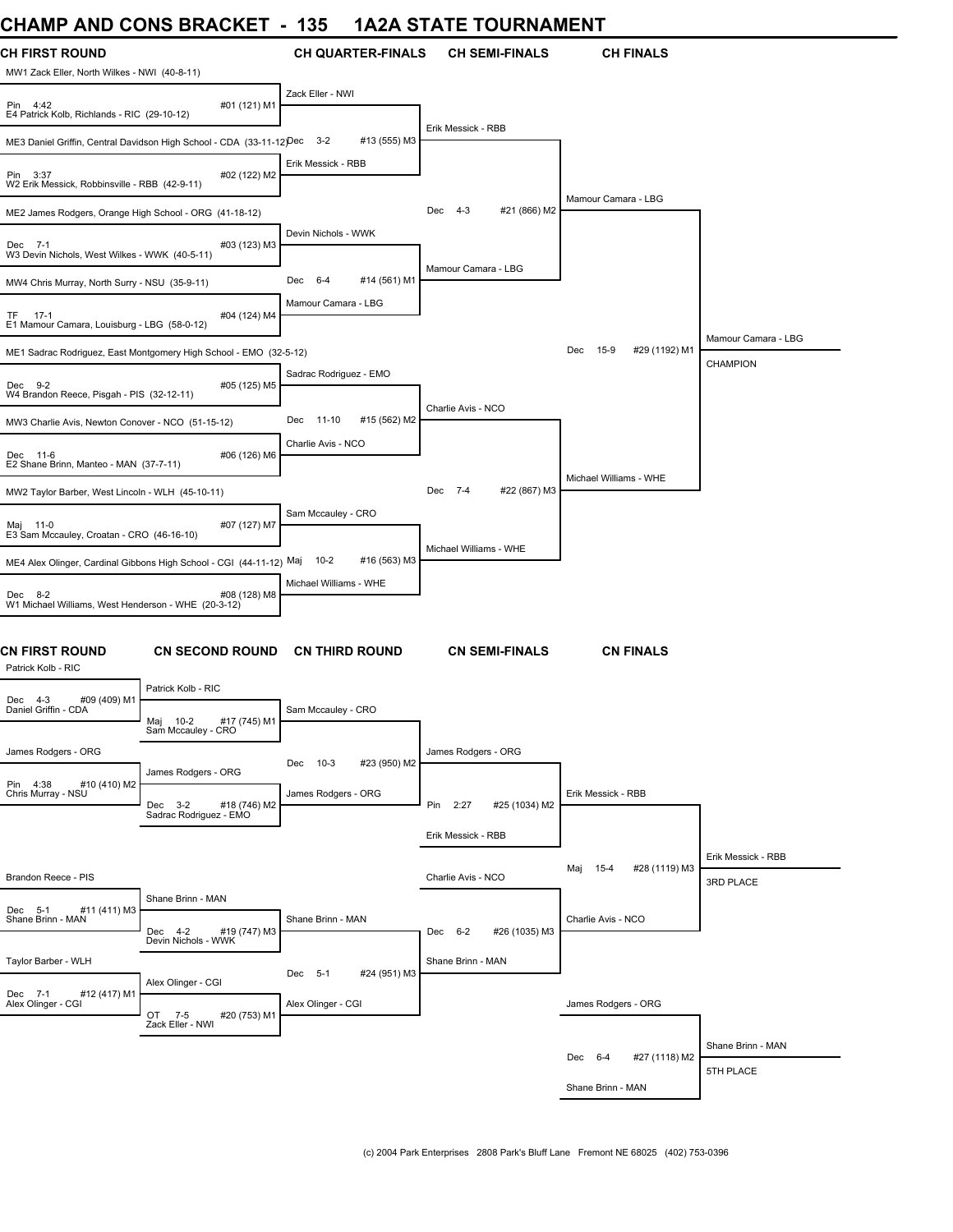## **CHAMP AND CONS BRACKET - 135 1A2A STATE TOURNAMENT**

| CHAINF AND CONS DRACKET                                        |                                                                      | າວວ<br>IAZA SIAIE              | <b>I UUNIVAIVIEIV I</b>        |                                |                     |
|----------------------------------------------------------------|----------------------------------------------------------------------|--------------------------------|--------------------------------|--------------------------------|---------------------|
| CH FIRST ROUND<br>MW1 Zack Eller, North Wilkes - NWI (40-8-11) |                                                                      | <b>CH QUARTER-FINALS</b>       | <b>CH SEMI-FINALS</b>          | <b>CH FINALS</b>               |                     |
| Pin 4:42<br>E4 Patrick Kolb, Richlands - RIC (29-10-12)        | #01 (121) M1                                                         | Zack Eller - NWI               |                                |                                |                     |
|                                                                | ME3 Daniel Griffin, Central Davidson High School - CDA (33-11-12)Dec | $3 - 2$<br>#13 (555) M3        | Erik Messick - RBB             |                                |                     |
| Pin 3:37<br>W2 Erik Messick, Robbinsville - RBB (42-9-11)      | #02 (122) M2                                                         | Erik Messick - RBB             |                                |                                |                     |
| ME2 James Rodgers, Orange High School - ORG (41-18-12)         |                                                                      |                                | #21 (866) M2<br>Dec<br>4-3     | Mamour Camara - LBG            |                     |
| Dec 7-1<br>W3 Devin Nichols, West Wilkes - WWK (40-5-11)       | #03 (123) M3                                                         | Devin Nichols - WWK            |                                |                                |                     |
| MW4 Chris Murray, North Surry - NSU (35-9-11)                  |                                                                      | Dec<br>$6 - 4$<br>#14 (561) M1 | Mamour Camara - LBG            |                                |                     |
| TF 17-1<br>E1 Mamour Camara, Louisburg - LBG (58-0-12)         | #04 (124) M4                                                         | Mamour Camara - LBG            |                                |                                |                     |
|                                                                | ME1 Sadrac Rodriguez, East Montgomery High School - EMO (32-5-12)    |                                |                                | Dec<br>$15-9$<br>#29 (1192) M1 | Mamour Camara - LBG |
|                                                                |                                                                      | Sadrac Rodriguez - EMO         |                                |                                | CHAMPION            |
| Dec 9-2<br>W4 Brandon Reece, Pisgah - PIS (32-12-11)           | #05 (125) M5                                                         |                                | Charlie Avis - NCO             |                                |                     |
| MW3 Charlie Avis, Newton Conover - NCO (51-15-12)              |                                                                      | 11-10<br>#15 (562) M2<br>Dec   |                                |                                |                     |
| Dec 11-6<br>E2 Shane Brinn, Manteo - MAN (37-7-11)             | #06 (126) M6                                                         | Charlie Avis - NCO             |                                |                                |                     |
| MW2 Taylor Barber, West Lincoln - WLH (45-10-11)               |                                                                      |                                | Dec<br>$7 - 4$<br>#22 (867) M3 | Michael Williams - WHE         |                     |
| Maj 11-0<br>E3 Sam Mccauley, Croatan - CRO (46-16-10)          | #07 (127) M7                                                         | Sam Mccauley - CRO             |                                |                                |                     |
|                                                                |                                                                      | $10 - 2$<br>#16 (563) M3       | Michael Williams - WHE         |                                |                     |
|                                                                | ME4 Alex Olinger, Cardinal Gibbons High School - CGI (44-11-12) Maj  | Michael Williams - WHE         |                                |                                |                     |
| Dec 8-2<br>W1 Michael Williams, West Henderson - WHE (20-3-12) | #08 (128) M8                                                         |                                |                                |                                |                     |
| CN FIRST ROUND<br>Patrick Kolb - RIC                           | <b>CN SECOND ROUND</b>                                               | <b>CN THIRD ROUND</b>          | <b>CN SEMI-FINALS</b>          | <b>CN FINALS</b>               |                     |
| #09 (409) M1<br>Dec 4-3                                        | Patrick Kolb - RIC                                                   |                                |                                |                                |                     |
| Daniel Griffin - CDA                                           | Maj 10-2<br>#17 (745) M1<br>Sam Mccauley - CRO                       | Sam Mccauley - CRO             |                                |                                |                     |
| James Rodgers - ORG                                            |                                                                      | #23 (950) M2<br>Dec 10-3       | James Rodgers - ORG            |                                |                     |
| Pin 4:38<br>#10 (410) M2                                       | James Rodgers - ORG                                                  |                                |                                |                                |                     |
| Chris Murray - NSU                                             | Dec 3-2<br>#18 (746) M2                                              | James Rodgers - ORG            | Pin 2:27<br>#25 (1034) M2      | Erik Messick - RBB             |                     |
|                                                                | Sadrac Rodriguez - EMO                                               |                                | Erik Messick - RBB             |                                |                     |
|                                                                |                                                                      |                                |                                |                                | Erik Messick - RBB  |
| Brandon Reece - PIS                                            |                                                                      |                                | Charlie Avis - NCO             | #28 (1119) M3<br>Maj 15-4      | 3RD PLACE           |
|                                                                | Shane Brinn - MAN                                                    |                                |                                |                                |                     |
| #11 (411) M3<br>Dec 5-1<br>Shane Brinn - MAN                   | #19 (747) M3<br>Dec 4-2<br>Devin Nichols - WWK                       | Shane Brinn - MAN              | #26 (1035) M3<br>Dec 6-2       | Charlie Avis - NCO             |                     |
| Taylor Barber - WLH                                            |                                                                      |                                | Shane Brinn - MAN              |                                |                     |
|                                                                | Alex Olinger - CGI                                                   | Dec 5-1<br>#24 (951) M3        |                                |                                |                     |
| Dec 7-1<br>#12 (417) M1<br>Alex Olinger - CGI                  | OT 7-5<br>#20 (753) M1<br>Zack Eller - NWI                           | Alex Olinger - CGI             |                                | James Rodgers - ORG            |                     |
|                                                                |                                                                      |                                |                                |                                | Shane Brinn - MAN   |
|                                                                |                                                                      |                                |                                | Dec 6-4<br>#27 (1118) M2       | 5TH PLACE           |
|                                                                |                                                                      |                                |                                | Shane Brinn - MAN              |                     |
|                                                                |                                                                      |                                |                                |                                |                     |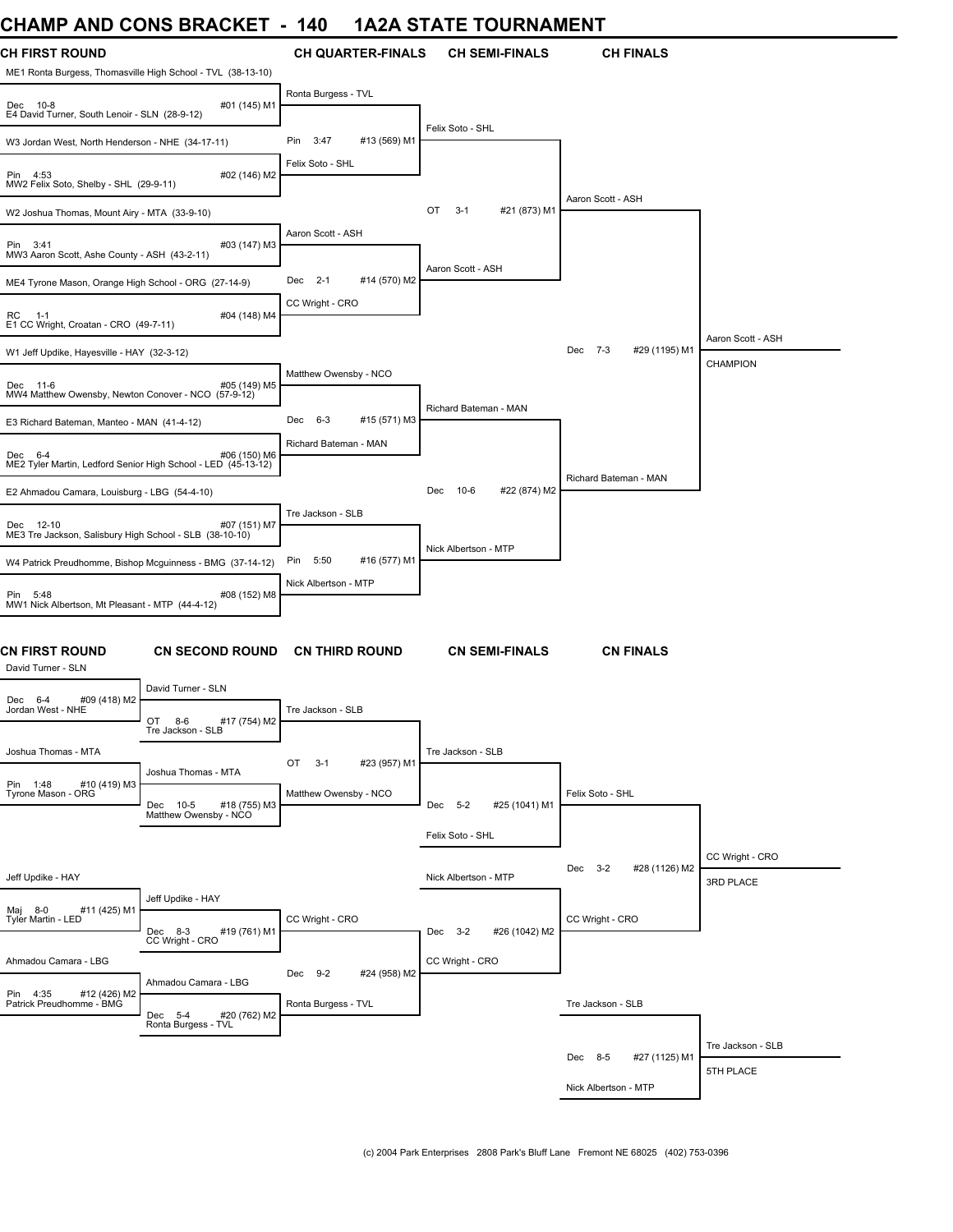## **CHAMP AND CONS BRACKET - 140 1A2A STATE TOURNAMENT**

| UNAIVIF AIND UUNJ DRAUNET                                                            |                                                    | 14V                      |              | IAZA JIA IE IUUNNAMENI        |                          |                   |
|--------------------------------------------------------------------------------------|----------------------------------------------------|--------------------------|--------------|-------------------------------|--------------------------|-------------------|
| <b>CH FIRST ROUND</b><br>ME1 Ronta Burgess, Thomasville High School - TVL (38-13-10) |                                                    | <b>CH QUARTER-FINALS</b> |              | <b>CH SEMI-FINALS</b>         | <b>CH FINALS</b>         |                   |
| Dec 10-8<br>E4 David Turner, South Lenoir - SLN (28-9-12)                            | #01 (145) M1                                       | Ronta Burgess - TVL      |              |                               |                          |                   |
| W3 Jordan West, North Henderson - NHE (34-17-11)                                     |                                                    | Pin<br>3:47              | #13 (569) M1 | Felix Soto - SHL              |                          |                   |
| Pin 4:53<br>MW2 Felix Soto, Shelby - SHL (29-9-11)                                   | #02 (146) M2                                       | Felix Soto - SHL         |              |                               |                          |                   |
| W2 Joshua Thomas, Mount Airy - MTA (33-9-10)                                         |                                                    |                          |              | #21 (873) M1<br>OT<br>$3 - 1$ | Aaron Scott - ASH        |                   |
| Pin 3:41<br>MW3 Aaron Scott, Ashe County - ASH (43-2-11)                             | #03 (147) M3                                       | Aaron Scott - ASH        |              |                               |                          |                   |
| ME4 Tyrone Mason, Orange High School - ORG (27-14-9)                                 |                                                    | Dec 2-1                  | #14 (570) M2 | Aaron Scott - ASH             |                          |                   |
| RC<br>$1 - 1$<br>E1 CC Wright, Croatan - CRO (49-7-11)                               | #04 (148) M4                                       | CC Wright - CRO          |              |                               |                          |                   |
| W1 Jeff Updike, Hayesville - HAY (32-3-12)                                           |                                                    |                          |              |                               | Dec 7-3<br>#29 (1195) M1 | Aaron Scott - ASH |
| Dec 11-6<br>MW4 Matthew Owensby, Newton Conover - NCO (57-9-12)                      | #05 (149) M5                                       | Matthew Owensby - NCO    |              |                               |                          | CHAMPION          |
| E3 Richard Bateman, Manteo - MAN (41-4-12)                                           |                                                    | Dec 6-3                  | #15 (571) M3 | Richard Bateman - MAN         |                          |                   |
| Dec 6-4<br>ME2 Tyler Martin, Ledford Senior High School - LED (45-13-12)             | #06 (150) M6                                       | Richard Bateman - MAN    |              |                               |                          |                   |
| E2 Ahmadou Camara, Louisburg - LBG (54-4-10)                                         |                                                    |                          |              | #22 (874) M2<br>Dec<br>10-6   | Richard Bateman - MAN    |                   |
| Dec 12-10<br>ME3 Tre Jackson, Salisbury High School - SLB (38-10-10)                 | #07 (151) M7                                       | Tre Jackson - SLB        |              |                               |                          |                   |
| W4 Patrick Preudhomme, Bishop Mcguinness - BMG (37-14-12)                            |                                                    | 5:50<br>Pin              | #16 (577) M1 | Nick Albertson - MTP          |                          |                   |
| Pin 5:48<br>MW1 Nick Albertson, Mt Pleasant - MTP (44-4-12)                          | #08 (152) M8                                       | Nick Albertson - MTP     |              |                               |                          |                   |
| CN FIRST ROUND<br>David Turner - SLN                                                 | <b>CN SECOND ROUND</b>                             | <b>CN THIRD ROUND</b>    |              | <b>CN SEMI-FINALS</b>         | <b>CN FINALS</b>         |                   |
| #09 (418) M2<br>Dec 6-4                                                              | David Turner - SLN                                 |                          |              |                               |                          |                   |
| Jordan West - NHE                                                                    | OT<br>$8 - 6$<br>#17 (754) M2<br>Tre Jackson - SLB | Tre Jackson - SLB        |              |                               |                          |                   |
| Joshua Thomas - MTA                                                                  |                                                    | OT<br>$3-1$              | #23 (957) M1 | Tre Jackson - SLB             |                          |                   |
| Pin 1:48<br>#10 (419) M3<br>Tyrone Mason - ORG                                       | Joshua Thomas - MTA<br>Dec 10-5<br>#18 (755) M3    | Matthew Owensby - NCO    |              | Dec 5-2<br>#25 (1041) M1      | Felix Soto - SHL         |                   |
|                                                                                      | Matthew Owensby - NCO                              |                          |              | Felix Soto - SHL              |                          |                   |
|                                                                                      |                                                    |                          |              |                               | Dec 3-2<br>#28 (1126) M2 | CC Wright - CRO   |
| Jeff Updike - HAY                                                                    |                                                    |                          |              | Nick Albertson - MTP          |                          | 3RD PLACE         |
| #11 (425) M1<br>Maj 8-0<br>Tyler Martin - LED                                        | Jeff Updike - HAY<br>Dec 8-3<br>#19 (761) M1       | CC Wright - CRO          |              | Dec 3-2<br>#26 (1042) M2      | CC Wright - CRO          |                   |
|                                                                                      | CC Wright - CRO                                    |                          |              |                               |                          |                   |
| Ahmadou Camara - LBG                                                                 | Ahmadou Camara - LBG                               | Dec 9-2                  | #24 (958) M2 | CC Wright - CRO               |                          |                   |
| Pin 4:35<br>#12 (426) M2<br>Patrick Preudhomme - BMG                                 | Dec 5-4<br>#20 (762) M2<br>Ronta Burgess - TVL     | Ronta Burgess - TVL      |              |                               | Tre Jackson - SLB        |                   |
|                                                                                      |                                                    |                          |              |                               |                          | Tre Jackson - SLB |
|                                                                                      |                                                    |                          |              |                               | Dec 8-5<br>#27 (1125) M1 | 5TH PLACE         |
|                                                                                      |                                                    |                          |              |                               | Nick Albertson - MTP     |                   |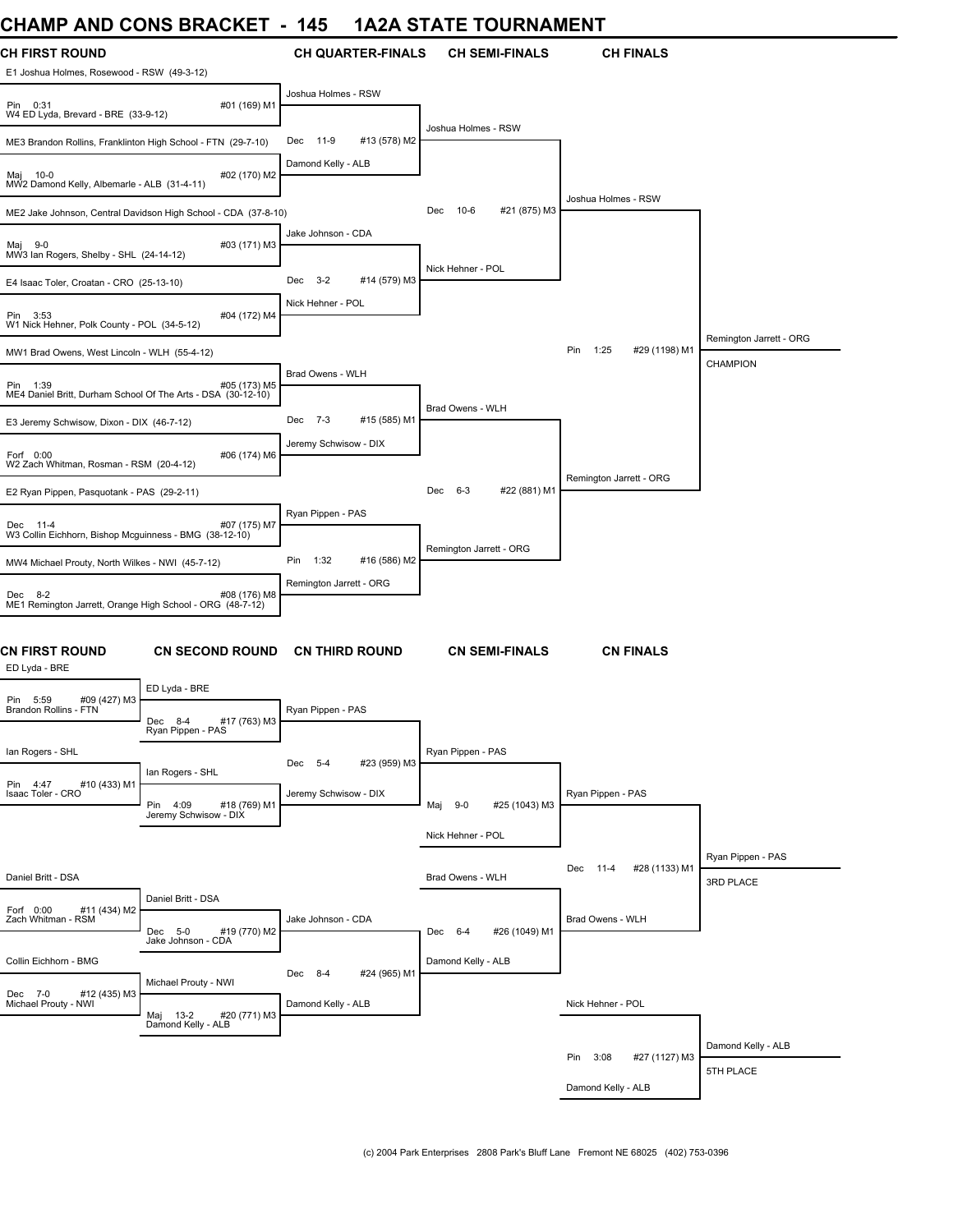## **CHAMP AND CONS BRACKET - 145 1A2A STATE TOURNAMENT**

| и і міг                                                                  | <b>AIND ANIMA DIVANILI</b>                                     |                         |                          |                         | IAZA STATE TOONNAMENT |                                |                         |
|--------------------------------------------------------------------------|----------------------------------------------------------------|-------------------------|--------------------------|-------------------------|-----------------------|--------------------------------|-------------------------|
| <b>CH FIRST ROUND</b><br>E1 Joshua Holmes, Rosewood - RSW (49-3-12)      |                                                                |                         | <b>CH QUARTER-FINALS</b> |                         | <b>CH SEMI-FINALS</b> | <b>CH FINALS</b>               |                         |
| Pin 0:31<br>W4 ED Lyda, Brevard - BRE (33-9-12)                          | #01 (169) M1                                                   | Joshua Holmes - RSW     |                          |                         |                       |                                |                         |
| ME3 Brandon Rollins, Franklinton High School - FTN (29-7-10)             |                                                                | 11-9<br>Dec             | #13 (578) M2             | Joshua Holmes - RSW     |                       |                                |                         |
| Maj 10-0<br>MW2 Damond Kelly, Albemarle - ALB (31-4-11)                  | #02 (170) M2                                                   | Damond Kelly - ALB      |                          |                         |                       |                                |                         |
|                                                                          |                                                                |                         |                          | 10-6<br>Dec             | #21 (875) M3          | Joshua Holmes - RSW            |                         |
|                                                                          | ME2 Jake Johnson, Central Davidson High School - CDA (37-8-10) | Jake Johnson - CDA      |                          |                         |                       |                                |                         |
| Maj 9-0<br>MW3 Ian Rogers, Shelby - SHL (24-14-12)                       | #03 (171) M3                                                   |                         |                          | Nick Hehner - POL       |                       |                                |                         |
| E4 Isaac Toler, Croatan - CRO (25-13-10)                                 |                                                                | $3 - 2$<br>Dec          | #14 (579) M3             |                         |                       |                                |                         |
| Pin 3:53<br>W1 Nick Hehner, Polk County - POL (34-5-12)                  | #04 (172) M4                                                   | Nick Hehner - POL       |                          |                         |                       |                                |                         |
| MW1 Brad Owens, West Lincoln - WLH (55-4-12)                             |                                                                |                         |                          |                         |                       | Pin<br>1:25<br>#29 (1198) M1   | Remington Jarrett - ORG |
|                                                                          |                                                                | Brad Owens - WLH        |                          |                         |                       |                                | <b>CHAMPION</b>         |
| Pin 1:39<br>ME4 Daniel Britt, Durham School Of The Arts - DSA (30-12-10) | #05 (173) M5                                                   |                         |                          | Brad Owens - WLH        |                       |                                |                         |
| E3 Jeremy Schwisow, Dixon - DIX (46-7-12)                                |                                                                | Dec 7-3                 | #15 (585) M1             |                         |                       |                                |                         |
| Forf 0:00<br>W2 Zach Whitman, Rosman - RSM (20-4-12)                     | #06 (174) M6                                                   | Jeremy Schwisow - DIX   |                          |                         |                       |                                |                         |
| E2 Ryan Pippen, Pasquotank - PAS (29-2-11)                               |                                                                |                         |                          | 6-3<br>Dec              | #22 (881) M1          | Remington Jarrett - ORG        |                         |
| Dec 11-4                                                                 | #07 (175) M7                                                   | Ryan Pippen - PAS       |                          |                         |                       |                                |                         |
| W3 Collin Eichhorn, Bishop Mcguinness - BMG (38-12-10)                   |                                                                |                         |                          | Remington Jarrett - ORG |                       |                                |                         |
| MW4 Michael Prouty, North Wilkes - NWI (45-7-12)                         |                                                                | 1:32<br>Pin             | #16 (586) M2             |                         |                       |                                |                         |
| Dec 8-2<br>ME1 Remington Jarrett, Orange High School - ORG (48-7-12)     | #08 (176) M8                                                   | Remington Jarrett - ORG |                          |                         |                       |                                |                         |
| <b>CN FIRST ROUND</b><br>ED Lyda - BRE                                   | <b>CN SECOND ROUND</b>                                         |                         | <b>CN THIRD ROUND</b>    |                         | <b>CN SEMI-FINALS</b> | <b>CN FINALS</b>               |                         |
|                                                                          | ED Lyda - BRE                                                  |                         |                          |                         |                       |                                |                         |
| #09 (427) M3<br>Pin 5:59<br>Brandon Rollins - FTN                        | #17 (763) M3<br>Dec<br>8-4<br>Ryan Pippen - PAS                | Ryan Pippen - PAS       |                          |                         |                       |                                |                         |
| lan Rogers - SHL                                                         |                                                                |                         |                          | Ryan Pippen - PAS       |                       |                                |                         |
|                                                                          | lan Rogers - SHL                                               | Dec 5-4                 | #23 (959) M3             |                         |                       |                                |                         |
| #10 (433) M1<br>Pin 4:47<br>Isaac Toler - CRO                            | Pin 4:09<br>#18 (769) M1                                       | Jeremy Schwisow - DIX   |                          | $9 - 0$<br>Maj          | #25 (1043) M3         | Ryan Pippen - PAS              |                         |
|                                                                          | Jeremy Schwisow - DIX                                          |                         |                          | Nick Hehner - POL       |                       |                                |                         |
|                                                                          |                                                                |                         |                          |                         |                       |                                | Ryan Pippen - PAS       |
| Daniel Britt - DSA                                                       |                                                                |                         |                          | Brad Owens - WLH        |                       | #28 (1133) M1<br>Dec<br>- 11-4 | 3RD PLACE               |
| Forf 0:00<br>#11 (434) M2<br>Zach Whitman - RSM                          | Daniel Britt - DSA                                             | Jake Johnson - CDA      |                          |                         |                       | Brad Owens - WLH               |                         |
|                                                                          | Dec 5-0<br>#19 (770) M2<br>Jake Johnson - CDA                  |                         |                          | Dec 6-4                 | #26 (1049) M1         |                                |                         |
| Collin Eichhorn - BMG                                                    |                                                                |                         |                          | Damond Kelly - ALB      |                       |                                |                         |
| Dec 7-0<br>#12 (435) M3                                                  | Michael Prouty - NWI                                           | Dec 8-4                 | #24 (965) M1             |                         |                       |                                |                         |
| Michael Prouty - NWI                                                     | Maj 13-2 #20<br>Damond Kelly - ALB<br>#20 (771) M3             | Damond Kelly - ALB      |                          |                         |                       | Nick Hehner - POL              |                         |
|                                                                          |                                                                |                         |                          |                         |                       | Pin 3:08                       | Damond Kelly - ALB      |
|                                                                          |                                                                |                         |                          |                         |                       | #27 (1127) M3                  | 5TH PLACE               |
|                                                                          |                                                                |                         |                          |                         |                       | Damond Kelly - ALB             |                         |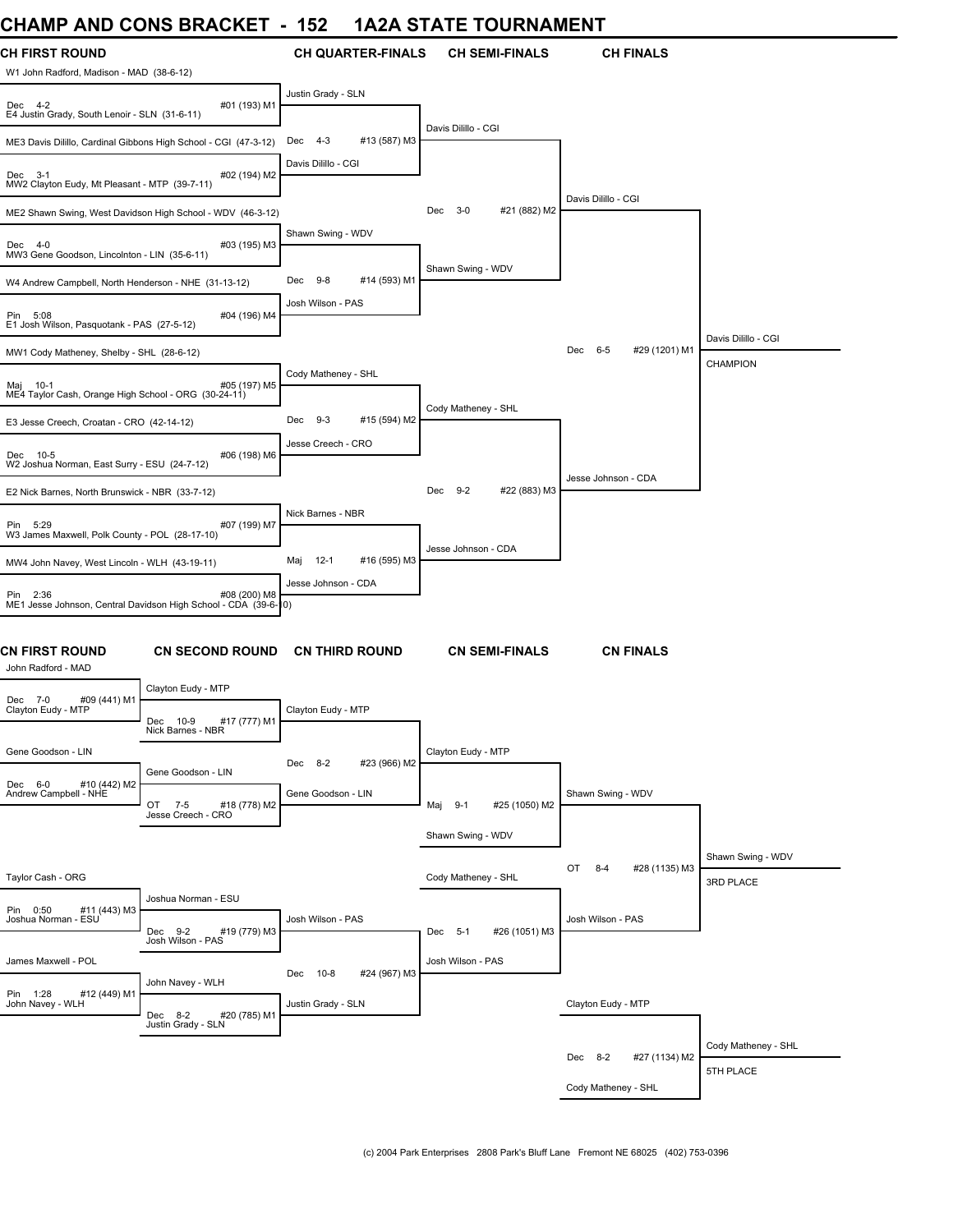## **CHAMP AND CONS BRACKET - 152 1A2A STATE TOURNAMENT**

| и і лічіг                                                        | <b>AIND ACINA DIVANILE</b>                                                   | ▯◡▵                          | IAZA STATE TOONNAMENT        |                                |                     |
|------------------------------------------------------------------|------------------------------------------------------------------------------|------------------------------|------------------------------|--------------------------------|---------------------|
| CH FIRST ROUND<br>W1 John Radford, Madison - MAD (38-6-12)       |                                                                              | <b>CH QUARTER-FINALS</b>     | <b>CH SEMI-FINALS</b>        | <b>CH FINALS</b>               |                     |
| Dec 4-2<br>E4 Justin Grady, South Lenoir - SLN (31-6-11)         | #01 (193) M1                                                                 | Justin Grady - SLN           |                              |                                |                     |
| ME3 Davis Dilillo, Cardinal Gibbons High School - CGI (47-3-12)  |                                                                              | 4-3<br>#13 (587) M3<br>Dec   | Davis Dilillo - CGI          |                                |                     |
| Dec 3-1<br>MW2 Clayton Eudy, Mt Pleasant - MTP (39-7-11)         | #02 (194) M2                                                                 | Davis Dilillo - CGI          |                              |                                |                     |
|                                                                  | ME2 Shawn Swing, West Davidson High School - WDV (46-3-12)                   |                              | #21 (882) M2<br>$3-0$<br>Dec | Davis Dilillo - CGI            |                     |
| Dec 4-0<br>MW3 Gene Goodson, Lincolnton - LIN (35-6-11)          | #03 (195) M3                                                                 | Shawn Swing - WDV            |                              |                                |                     |
| W4 Andrew Campbell, North Henderson - NHE (31-13-12)             |                                                                              | 9-8<br>#14 (593) M1<br>Dec   | Shawn Swing - WDV            |                                |                     |
| Pin 5:08<br>E1 Josh Wilson, Pasquotank - PAS (27-5-12)           | #04 (196) M4                                                                 | Josh Wilson - PAS            |                              |                                |                     |
|                                                                  |                                                                              |                              |                              | Dec 6-5<br>#29 (1201) M1       | Davis Dilillo - CGI |
| MW1 Cody Matheney, Shelby - SHL (28-6-12)                        |                                                                              | Cody Matheney - SHL          |                              |                                | CHAMPION            |
| 1!) 105#<br>ME4 Taylor Cash, Orange High School - ORG (30-24-11) | #05 (197) M5                                                                 |                              | Cody Matheney - SHL          |                                |                     |
| E3 Jesse Creech, Croatan - CRO (42-14-12)                        |                                                                              | $9-3$<br>#15 (594) M2<br>Dec |                              |                                |                     |
| Dec 10-5<br>W2 Joshua Norman, East Surry - ESU (24-7-12)         | #06 (198) M6                                                                 | Jesse Creech - CRO           |                              |                                |                     |
| E2 Nick Barnes, North Brunswick - NBR (33-7-12)                  |                                                                              |                              | #22 (883) M3<br>Dec 9-2      | Jesse Johnson - CDA            |                     |
| Pin 5:29<br>W3 James Maxwell, Polk County - POL (28-17-10)       | #07 (199) M7                                                                 | Nick Barnes - NBR            |                              |                                |                     |
| MW4 John Navey, West Lincoln - WLH (43-19-11)                    |                                                                              | 12-1<br>#16 (595) M3<br>Maj  | Jesse Johnson - CDA          |                                |                     |
| Pin 2:36                                                         | #08 (200) M8<br>ME1 Jesse Johnson, Central Davidson High School - CDA (39-6- | Jesse Johnson - CDA<br>10)   |                              |                                |                     |
| CN FIRST ROUND<br>John Radford - MAD                             | <b>CN SECOND ROUND</b>                                                       | <b>CN THIRD ROUND</b>        | <b>CN SEMI-FINALS</b>        | <b>CN FINALS</b>               |                     |
| Dec 7-0<br>#09 (441) M1                                          | Clayton Eudy - MTP                                                           |                              |                              |                                |                     |
| Clayton Eudy - MTP                                               | Dec<br>10-9<br>#17 (777) M1<br>Nick Barnes - NBR                             | Clayton Eudy - MTP           |                              |                                |                     |
| Gene Goodson - LIN                                               |                                                                              | #23 (966) M2<br>Dec 8-2      | Clayton Eudy - MTP           |                                |                     |
| Dec 6-0<br>#10 (442) M2                                          | Gene Goodson - LIN                                                           |                              |                              |                                |                     |
| Andrew Campbell - NHE                                            | OT 7-5<br>#18 (778) M2                                                       | Gene Goodson - LIN           | Maj 9-1<br>#25 (1050) M2     | Shawn Swing - WDV              |                     |
|                                                                  | Jesse Creech - CRO                                                           |                              |                              |                                |                     |
|                                                                  |                                                                              |                              | Shawn Swing - WDV            |                                | Shawn Swing - WDV   |
| Taylor Cash - ORG                                                |                                                                              |                              | Cody Matheney - SHL          | OT<br>$8 - 4$<br>#28 (1135) M3 | 3RD PLACE           |
|                                                                  | Joshua Norman - ESU                                                          |                              |                              |                                |                     |
| Pin 0:50<br>#11 (443) M3<br>Joshua Norman - ESU                  | #19 (779) M3<br>Dec 9-2<br>Josh Wilson - PAS                                 | Josh Wilson - PAS            | Dec 5-1<br>#26 (1051) M3     | Josh Wilson - PAS              |                     |
| James Maxwell - POL                                              |                                                                              |                              | Josh Wilson - PAS            |                                |                     |
|                                                                  | John Navey - WLH                                                             | Dec 10-8<br>#24 (967) M3     |                              |                                |                     |
| Pin 1:28<br>#12 (449) M1<br>John Navey - WLH                     | Dec 8-2<br>#20 (785) M1<br>Justin Grady - SLN                                | Justin Grady - SLN           |                              | Clayton Eudy - MTP             |                     |
|                                                                  |                                                                              |                              |                              |                                | Cody Matheney - SHL |
|                                                                  |                                                                              |                              |                              | Dec 8-2<br>#27 (1134) M2       | 5TH PLACE           |
|                                                                  |                                                                              |                              |                              | Cody Matheney - SHL            |                     |
|                                                                  |                                                                              |                              |                              |                                |                     |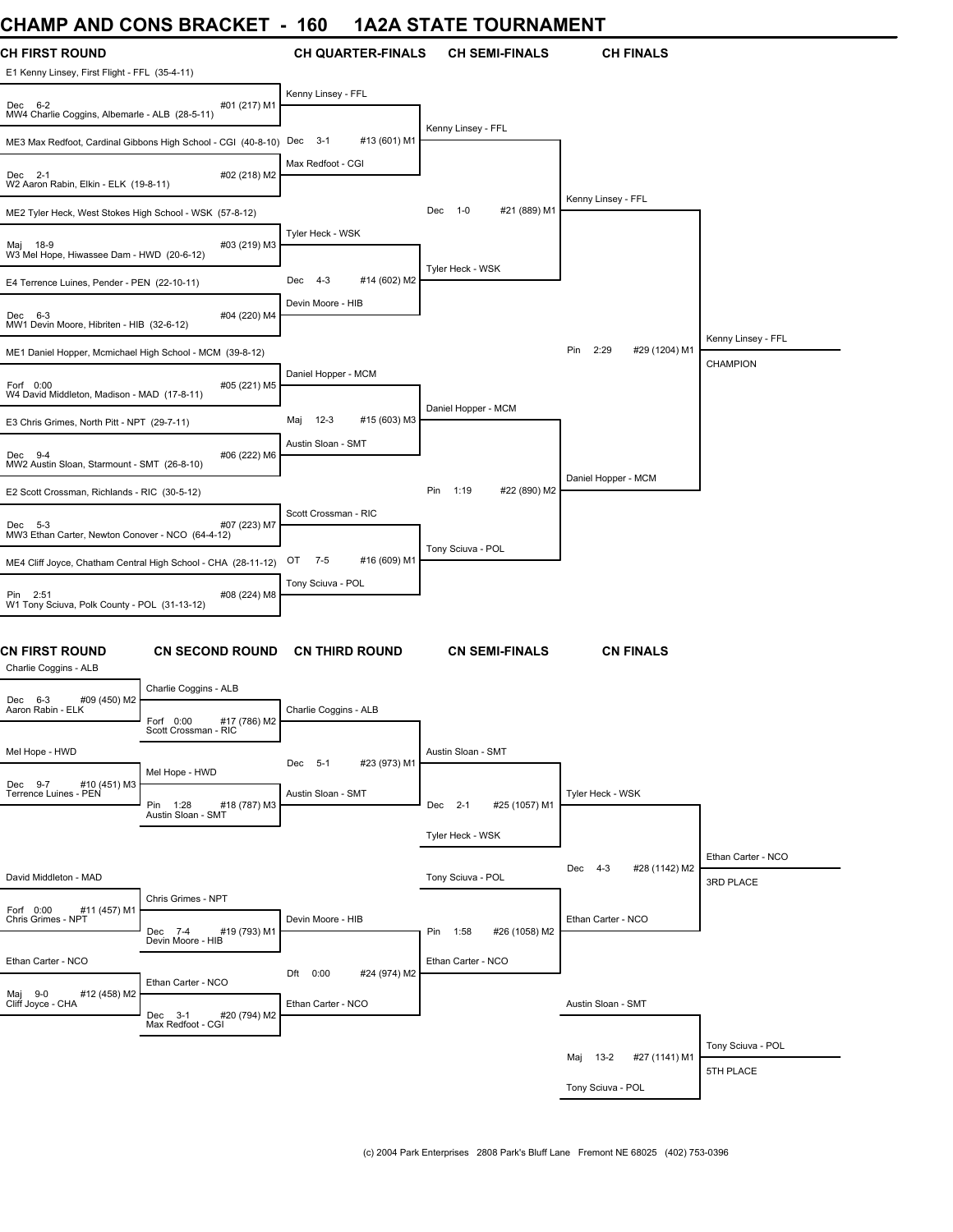## **CHAMP AND CONS BRACKET - 160 1A2A STATE TOURNAMENT**

| UNAIVIF AIND UUNJ DRAUNET                                              |                                                               | - 100                          | <u>IAZA JIAIE IUUNIVAIVIENI</u> |                                 |                    |
|------------------------------------------------------------------------|---------------------------------------------------------------|--------------------------------|---------------------------------|---------------------------------|--------------------|
| <b>CH FIRST ROUND</b><br>E1 Kenny Linsey, First Flight - FFL (35-4-11) |                                                               | <b>CH QUARTER-FINALS</b>       | <b>CH SEMI-FINALS</b>           | <b>CH FINALS</b>                |                    |
| Dec 6-2<br>MW4 Charlie Coggins, Albemarle - ALB (28-5-11)              | #01 (217) M1                                                  | Kenny Linsey - FFL             |                                 |                                 |                    |
|                                                                        | ME3 Max Redfoot, Cardinal Gibbons High School - CGI (40-8-10) | $3 - 1$<br>#13 (601) M1<br>Dec | Kenny Linsey - FFL              |                                 |                    |
| Dec 2-1<br>W2 Aaron Rabin, Elkin - ELK (19-8-11)                       | #02 (218) M2                                                  | Max Redfoot - CGI              |                                 |                                 |                    |
| ME2 Tyler Heck, West Stokes High School - WSK (57-8-12)                |                                                               |                                | #21 (889) M1<br>Dec<br>$1 - 0$  | Kenny Linsey - FFL              |                    |
| Maj 18-9<br>W3 Mel Hope, Hiwassee Dam - HWD (20-6-12)                  | #03 (219) M3                                                  | Tyler Heck - WSK               |                                 |                                 |                    |
| E4 Terrence Luines, Pender - PEN (22-10-11)                            |                                                               | Dec 4-3<br>#14 (602) M2        | Tyler Heck - WSK                |                                 |                    |
| Dec 6-3<br>MW1 Devin Moore, Hibriten - HIB (32-6-12)                   | #04 (220) M4                                                  | Devin Moore - HIB              |                                 |                                 |                    |
| ME1 Daniel Hopper, Mcmichael High School - MCM (39-8-12)               |                                                               |                                |                                 | 2:29<br>Pin<br>#29 (1204) M1    | Kenny Linsey - FFL |
| Forf 0:00<br>W4 David Middleton, Madison - MAD (17-8-11)               | #05 (221) M5                                                  | Daniel Hopper - MCM            |                                 |                                 | <b>CHAMPION</b>    |
| E3 Chris Grimes, North Pitt - NPT (29-7-11)                            |                                                               | $12-3$<br>#15 (603) M3<br>Maj  | Daniel Hopper - MCM             |                                 |                    |
| Dec 9-4<br>MW2 Austin Sloan, Starmount - SMT (26-8-10)                 | #06 (222) M6                                                  | Austin Sloan - SMT             |                                 |                                 |                    |
| E2 Scott Crossman, Richlands - RIC (30-5-12)                           |                                                               |                                | #22 (890) M2<br>Pin<br>1:19     | Daniel Hopper - MCM             |                    |
| Dec 5-3<br>MW3 Ethan Carter, Newton Conover - NCO (64-4-12)            | #07 (223) M7                                                  | Scott Crossman - RIC           |                                 |                                 |                    |
|                                                                        | ME4 Cliff Joyce, Chatham Central High School - CHA (28-11-12) | OT<br>7-5<br>#16 (609) M1      | Tony Sciuva - POL               |                                 |                    |
| Pin 2:51<br>W1 Tony Sciuva, Polk County - POL (31-13-12)               | #08 (224) M8                                                  | Tony Sciuva - POL              |                                 |                                 |                    |
| CN FIRST ROUND<br>Charlie Coggins - ALB                                | <b>CN SECOND ROUND</b>                                        | <b>CN THIRD ROUND</b>          | <b>CN SEMI-FINALS</b>           | <b>CN FINALS</b>                |                    |
| Dec 6-3<br>#09 (450) M2                                                | Charlie Coggins - ALB                                         |                                |                                 |                                 |                    |
| Aaron Rabin - ELK                                                      | Forf 0:00<br>#17 (786) M2<br>Scott Crossman - RIC             | Charlie Coggins - ALB          |                                 |                                 |                    |
| Mel Hope - HWD                                                         |                                                               | #23 (973) M1<br>Dec 5-1        | Austin Sloan - SMT              |                                 |                    |
| Dec 9-7<br>#10 (451) M3<br>Terrence Luines - PEN                       | Mel Hope - HWD<br>Pin 1:28<br>#18 (787) M3                    | Austin Sloan - SMT             | Dec 2-1<br>#25 (1057) M1        | Tyler Heck - WSK                |                    |
|                                                                        | Austin Sloan - SMT                                            |                                | Tyler Heck - WSK                |                                 |                    |
|                                                                        |                                                               |                                |                                 |                                 | Ethan Carter - NCO |
| David Middleton - MAD                                                  |                                                               |                                | Tony Sciuva - POL               | Dec<br>$4 - 3$<br>#28 (1142) M2 | 3RD PLACE          |
| Forf 0:00<br>#11 (457) M1<br>Chris Grimes - NPT                        | Chris Grimes - NPT<br>#19 (793) M1<br>Dec 7-4                 | Devin Moore - HIB              | Pin 1:58<br>#26 (1058) M2       | Ethan Carter - NCO              |                    |
|                                                                        | Devin Moore - HIB                                             |                                |                                 |                                 |                    |
| Ethan Carter - NCO                                                     | Ethan Carter - NCO                                            | Dft 0:00<br>#24 (974) M2       | Ethan Carter - NCO              |                                 |                    |
| Maj 9-0<br>#12 (458) M2<br>Cliff Joyce - CHA                           | #20 (794) M2<br>Dec 3-1<br>Max Redfoot - CGI                  | Ethan Carter - NCO             |                                 | Austin Sloan - SMT              |                    |
|                                                                        |                                                               |                                |                                 |                                 | Tony Sciuva - POL  |
|                                                                        |                                                               |                                |                                 | Maj 13-2<br>#27 (1141) M1       | 5TH PLACE          |
|                                                                        |                                                               |                                |                                 | Tony Sciuva - POL               |                    |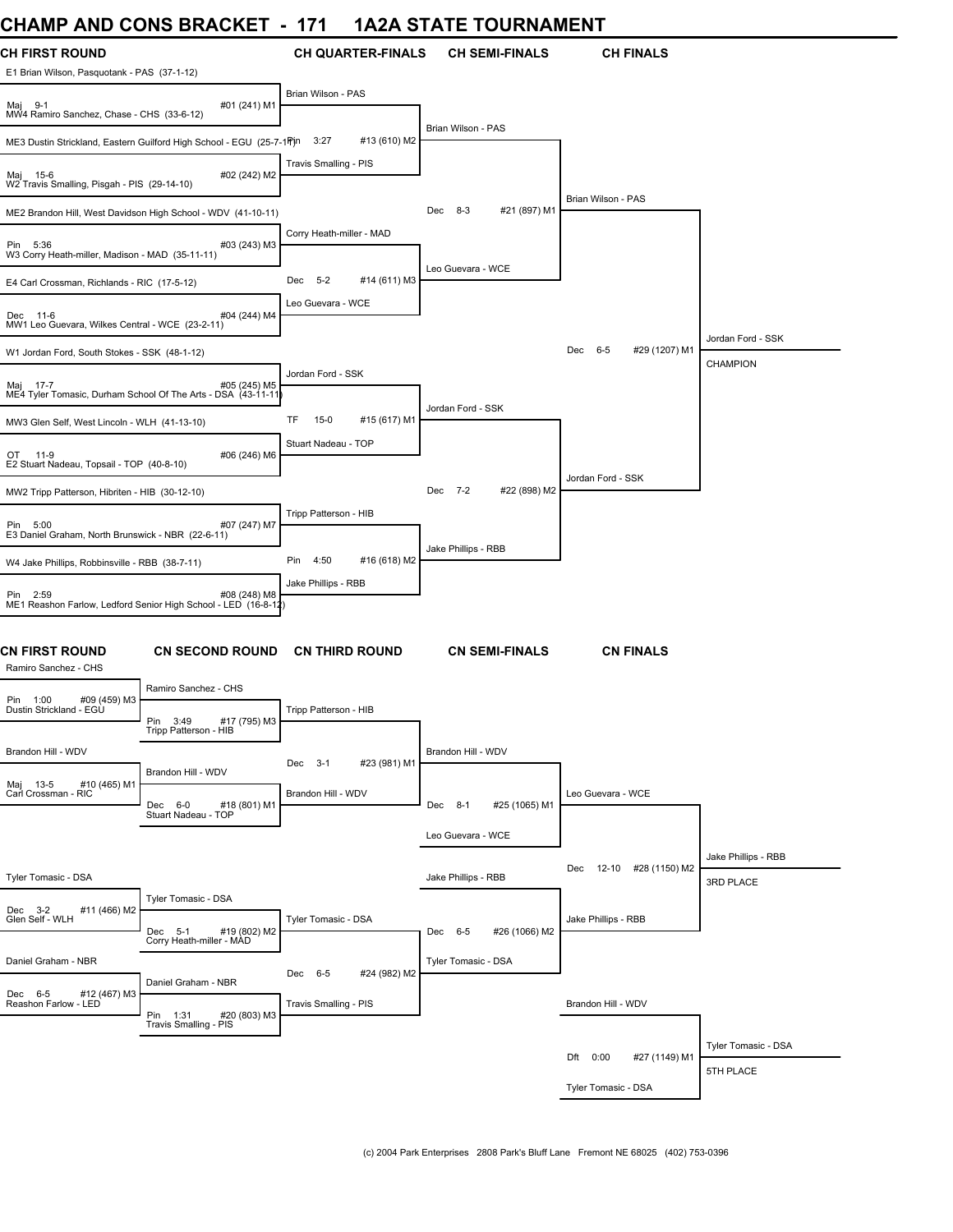# **CHAMP AND CONS BRACKET - 171 1A2A STATE TOURNAMENT**

| <b>CH FIRST ROUND</b><br>E1 Brian Wilson, Pasquotank - PAS (37-1-12)                                     | <b>CH QUARTER-FINALS</b>              | <b>CH SEMI-FINALS</b>    | <b>CH FINALS</b>           |                                      |
|----------------------------------------------------------------------------------------------------------|---------------------------------------|--------------------------|----------------------------|--------------------------------------|
| #01 (241) M1<br>Maj 9-1<br>MW4 Ramiro Sanchez, Chase - CHS (33-6-12)                                     | Brian Wilson - PAS                    |                          |                            |                                      |
| ME3 Dustin Strickland, Eastern Guilford High School - EGU (25-7-1 Pjn                                    | 3:27<br>#13 (610) M2                  | Brian Wilson - PAS       |                            |                                      |
| Maj 15-6<br>#02 (242) M2<br>W2 Travis Smalling, Pisgah - PIS (29-14-10)                                  | Travis Smalling - PIS                 |                          |                            |                                      |
| ME2 Brandon Hill, West Davidson High School - WDV (41-10-11)                                             |                                       | Dec 8-3<br>#21 (897) M1  | Brian Wilson - PAS         |                                      |
| Pin 5:36<br>#03 (243) M3<br>W3 Corry Heath-miller, Madison - MAD (35-11-11)                              | Corry Heath-miller - MAD              |                          |                            |                                      |
| E4 Carl Crossman, Richlands - RIC (17-5-12)                                                              | Dec<br>$5 - 2$<br>#14 (611) M3        | Leo Guevara - WCE        |                            |                                      |
| Dec 11-6<br>#04 (244) M4<br>MW1 Leo Guevara, Wilkes Central - WCE (23-2-11)                              | Leo Guevara - WCE                     |                          |                            |                                      |
| W1 Jordan Ford, South Stokes - SSK (48-1-12)                                                             |                                       |                          | Dec 6-5<br>#29 (1207) M1   | Jordan Ford - SSK<br><b>CHAMPION</b> |
| HO5 (245) Maj 17-7<br>ME4 Tyler Tomasic, Durham School Of The Arts - DSA (43-11-11)                      | Jordan Ford - SSK                     |                          |                            |                                      |
| MW3 Glen Self, West Lincoln - WLH (41-13-10)                                                             | TF<br>$15-0$<br>#15 (617) M1          | Jordan Ford - SSK        |                            |                                      |
| 11-9<br>#06 (246) M6<br>OT<br>E2 Stuart Nadeau, Topsail - TOP (40-8-10)                                  | Stuart Nadeau - TOP                   |                          |                            |                                      |
| MW2 Tripp Patterson, Hibriten - HIB (30-12-10)                                                           |                                       | Dec 7-2<br>#22 (898) M2  | Jordan Ford - SSK          |                                      |
| Pin 5:00<br>#07 (247) M7<br>E3 Daniel Graham, North Brunswick - NBR (22-6-11)                            | Tripp Patterson - HIB                 |                          |                            |                                      |
| W4 Jake Phillips, Robbinsville - RBB (38-7-11)                                                           | Pin 4:50<br>#16 (618) M2              | Jake Phillips - RBB      |                            |                                      |
| Pin 2:59<br>#08 (248) M8<br>ME1 Reashon Farlow, Ledford Senior High School - LED (16-8-12)               | Jake Phillips - RBB                   |                          |                            |                                      |
| CN FIRST ROUND<br><b>CN SECOND ROUND</b><br>Ramiro Sanchez - CHS                                         | <b>CN THIRD ROUND</b>                 | <b>CN SEMI-FINALS</b>    | <b>CN FINALS</b>           |                                      |
| Ramiro Sanchez - CHS<br>Pin 1:00<br>#09 (459) M3                                                         |                                       |                          |                            |                                      |
| Dustin Strickland - EGÙ<br>Pin<br>3:49<br>#17 (795) M3<br>Tripp Patterson - HIB                          | Tripp Patterson - HIB                 |                          |                            |                                      |
| Brandon Hill - WDV<br>Brandon Hill - WDV                                                                 | Dec 3-1<br>#23 (981) M1               | Brandon Hill - WDV       |                            |                                      |
| #10 (465) M1<br>Maj 13-5<br>Carl Crossman - RIC<br>#18 (801) M1<br>Dec 6-0<br>Stuart Nadeau - TOP        | Brandon Hill - WDV                    | Dec 8-1<br>#25 (1065) M1 | Leo Guevara - WCE          |                                      |
|                                                                                                          |                                       | Leo Guevara - WCE        |                            |                                      |
|                                                                                                          |                                       |                          | Dec<br>12-10 #28 (1150) M2 | Jake Phillips - RBB                  |
| Tyler Tomasic - DSA<br>Tyler Tomasic - DSA                                                               |                                       | Jake Phillips - RBB      |                            | 3RD PLACE                            |
| Dec 3-2<br>Glen Self - WLH<br>#11 (466) M2<br>#19 (802) M2<br>Dec<br>$5 - 1$<br>Corry Heath-miller - MAD | Tyler Tomasic - DSA                   | Dec 6-5<br>#26 (1066) M2 | Jake Phillips - RBB        |                                      |
| Daniel Graham - NBR                                                                                      | Dec 6-5                               | Tyler Tomasic - DSA      |                            |                                      |
| Daniel Graham - NBR<br>Dec 6-5<br>#12 (467) M3<br>Reashon Farlow - LED<br>Pin 1:31<br>#20 (803) M3       | #24 (982) M2<br>Travis Smalling - PIS |                          | Brandon Hill - WDV         |                                      |
| Travis Smalling - PIS                                                                                    |                                       |                          |                            |                                      |
|                                                                                                          |                                       |                          | Dft 0:00<br>#27 (1149) M1  | Tyler Tomasic - DSA<br>5TH PLACE     |
|                                                                                                          |                                       |                          | Tyler Tomasic - DSA        |                                      |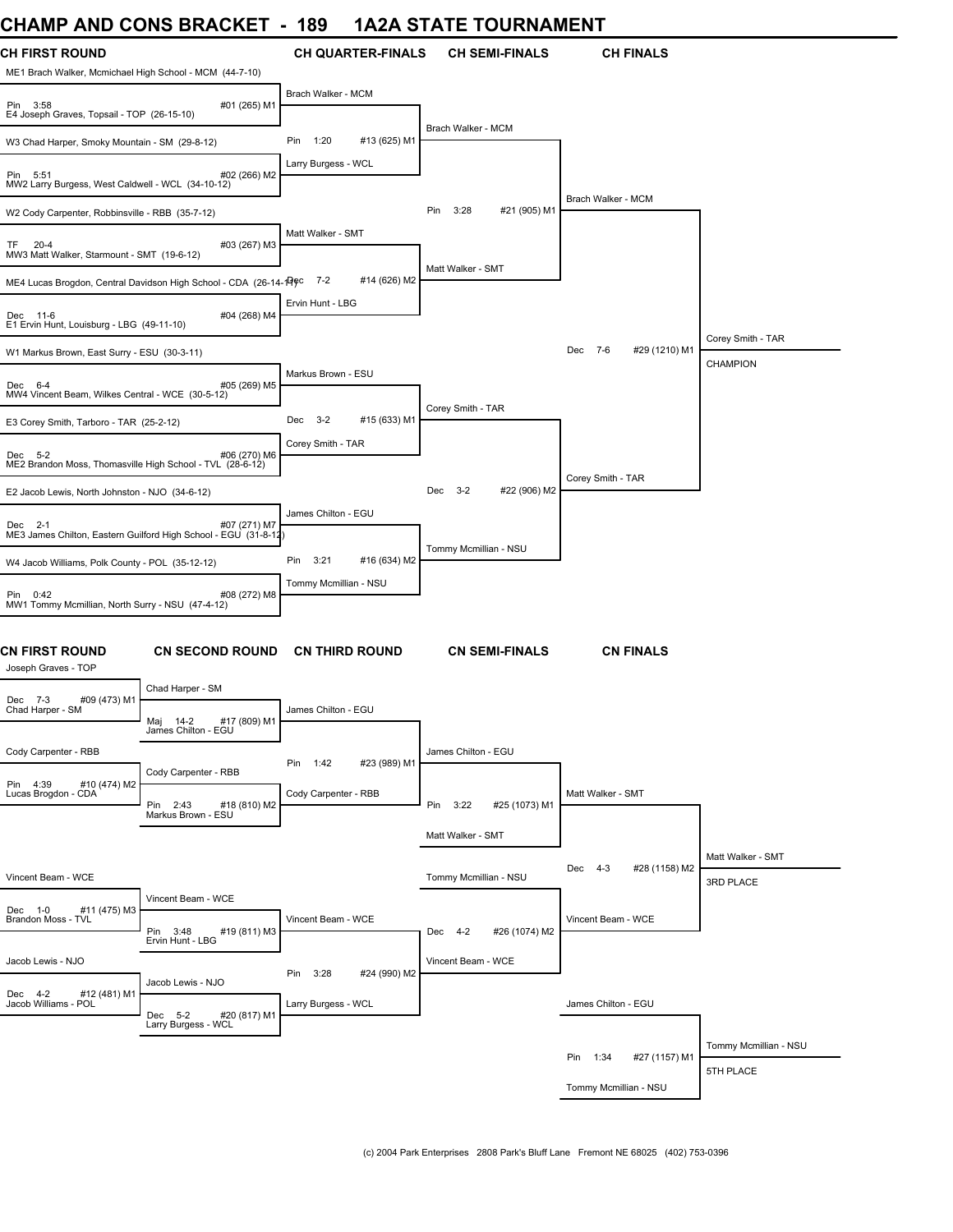## **CHAMP AND CONS BRACKET - 189 1A2A STATE TOURNAMENT**

| SHAINF AND CONS BRACKET                                                                             | 10J                         | <u>IAZA JIA IE IUUNNAMENI</u>  |                           |                       |
|-----------------------------------------------------------------------------------------------------|-----------------------------|--------------------------------|---------------------------|-----------------------|
| <b>CH FIRST ROUND</b><br>ME1 Brach Walker, Mcmichael High School - MCM (44-7-10)                    | <b>CH QUARTER-FINALS</b>    | <b>CH SEMI-FINALS</b>          | <b>CH FINALS</b>          |                       |
| #01 (265) M1<br>Pin 3:58<br>E4 Joseph Graves, Topsail - TOP (26-15-10)                              | Brach Walker - MCM          |                                |                           |                       |
| W3 Chad Harper, Smoky Mountain - SM (29-8-12)                                                       | 1:20<br>#13 (625) M1<br>Pin | Brach Walker - MCM             |                           |                       |
| #02 (266) M2<br>Pin 5:51<br>MW2 Larry Burgess, West Caldwell - WCL (34-10-12)                       | Larry Burgess - WCL         |                                |                           |                       |
| W2 Cody Carpenter, Robbinsville - RBB (35-7-12)                                                     |                             | #21 (905) M1<br>Pin<br>3:28    | Brach Walker - MCM        |                       |
| #03 (267) M3<br>TF 20-4<br>MW3 Matt Walker, Starmount - SMT (19-6-12)                               | Matt Walker - SMT           |                                |                           |                       |
| ME4 Lucas Brogdon, Central Davidson High School - CDA (26-14-19) <sup>c</sup>                       | $7 - 2$<br>#14 (626) M2     | Matt Walker - SMT              |                           |                       |
| Dec 11-6<br>#04 (268) M4<br>E1 Ervin Hunt, Louisburg - LBG (49-11-10)                               | Ervin Hunt - LBG            |                                |                           |                       |
| W1 Markus Brown, East Surry - ESU (30-3-11)                                                         |                             |                                | Dec 7-6<br>#29 (1210) M1  | Corey Smith - TAR     |
| #05 (269) M5<br>Dec 6-4<br>MW4 Vincent Beam, Wilkes Central - WCE (30-5-12)                         | Markus Brown - ESU          |                                |                           | <b>CHAMPION</b>       |
| E3 Corey Smith, Tarboro - TAR (25-2-12)                                                             | Dec 3-2<br>#15 (633) M1     | Corey Smith - TAR              |                           |                       |
| #06 (270) M6<br>Dec 5-2<br>ME2 Brandon Moss, Thomasville High School - TVL (28-6-12)                | Corey Smith - TAR           |                                |                           |                       |
| E2 Jacob Lewis, North Johnston - NJO (34-6-12)                                                      |                             | $3 - 2$<br>#22 (906) M2<br>Dec | Corey Smith - TAR         |                       |
|                                                                                                     | James Chilton - EGU         |                                |                           |                       |
| #07 (271) M7<br>Dec 2-1<br>ME3 James Chilton, Eastern Guilford High School - EGU (31-8-12)          |                             |                                |                           |                       |
| W4 Jacob Williams, Polk County - POL (35-12-12)                                                     | 3:21<br>#16 (634) M2<br>Pin | Tommy Mcmillian - NSU          |                           |                       |
| #08 (272) M8<br>Pin 0:42<br>MW1 Tommy Mcmillian, North Surry - NSU (47-4-12)                        | Tommy Mcmillian - NSU       |                                |                           |                       |
| CN FIRST ROUND<br><b>CN SECOND ROUND</b><br>Joseph Graves - TOP                                     | <b>CN THIRD ROUND</b>       | <b>CN SEMI-FINALS</b>          | <b>CN FINALS</b>          |                       |
| Chad Harper - SM<br>Dec 7-3                                                                         |                             |                                |                           |                       |
| #09 (473) M1<br>Chad Harper - SM<br>Maj 14-2<br>#17 (809) M1<br>James Chilton - EGU                 | James Chilton - EGU         |                                |                           |                       |
| Cody Carpenter - RBB                                                                                | Pin 1:42<br>#23 (989) M1    | James Chilton - EGU            |                           |                       |
| Cody Carpenter - RBB<br>Pin 4:39<br>#10 (474) M2<br>Lucas Brogdon - CDA<br>Pin 2:43<br>#18 (810) M2 | Cody Carpenter - RBB        | Pin 3:22<br>#25 (1073) M1      | Matt Walker - SMT         |                       |
| Markus Brown - ESU                                                                                  |                             | Matt Walker - SMT              |                           |                       |
|                                                                                                     |                             |                                |                           | Matt Walker - SMT     |
| Vincent Beam - WCE                                                                                  |                             | Tommy Mcmillian - NSU          | #28 (1158) M2<br>Dec 4-3  | 3RD PLACE             |
| Vincent Beam - WCE                                                                                  |                             |                                |                           |                       |
| #11 (475) M3<br>Dec 1-0<br>Brandon Moss - TVL<br>Pin 3:48<br>#19 (811) M3<br>Ervin Hunt - LBG       | Vincent Beam - WCE          | Dec 4-2<br>#26 (1074) M2       | Vincent Beam - WCE        |                       |
| Jacob Lewis - NJO                                                                                   | Pin 3:28<br>#24 (990) M2    | Vincent Beam - WCE             |                           |                       |
| Jacob Lewis - NJO<br>Dec 4-2<br>#12 (481) M1<br>Jacob Williams - POL<br>Dec 5-2<br>#20 (817) M1     | Larry Burgess - WCL         |                                | James Chilton - EGU       |                       |
| Larry Burgess - WCL                                                                                 |                             |                                |                           | Tommy Mcmillian - NSU |
|                                                                                                     |                             |                                | Pin 1:34<br>#27 (1157) M1 | 5TH PLACE             |
|                                                                                                     |                             |                                | Tommy Mcmillian - NSU     |                       |
|                                                                                                     |                             |                                |                           |                       |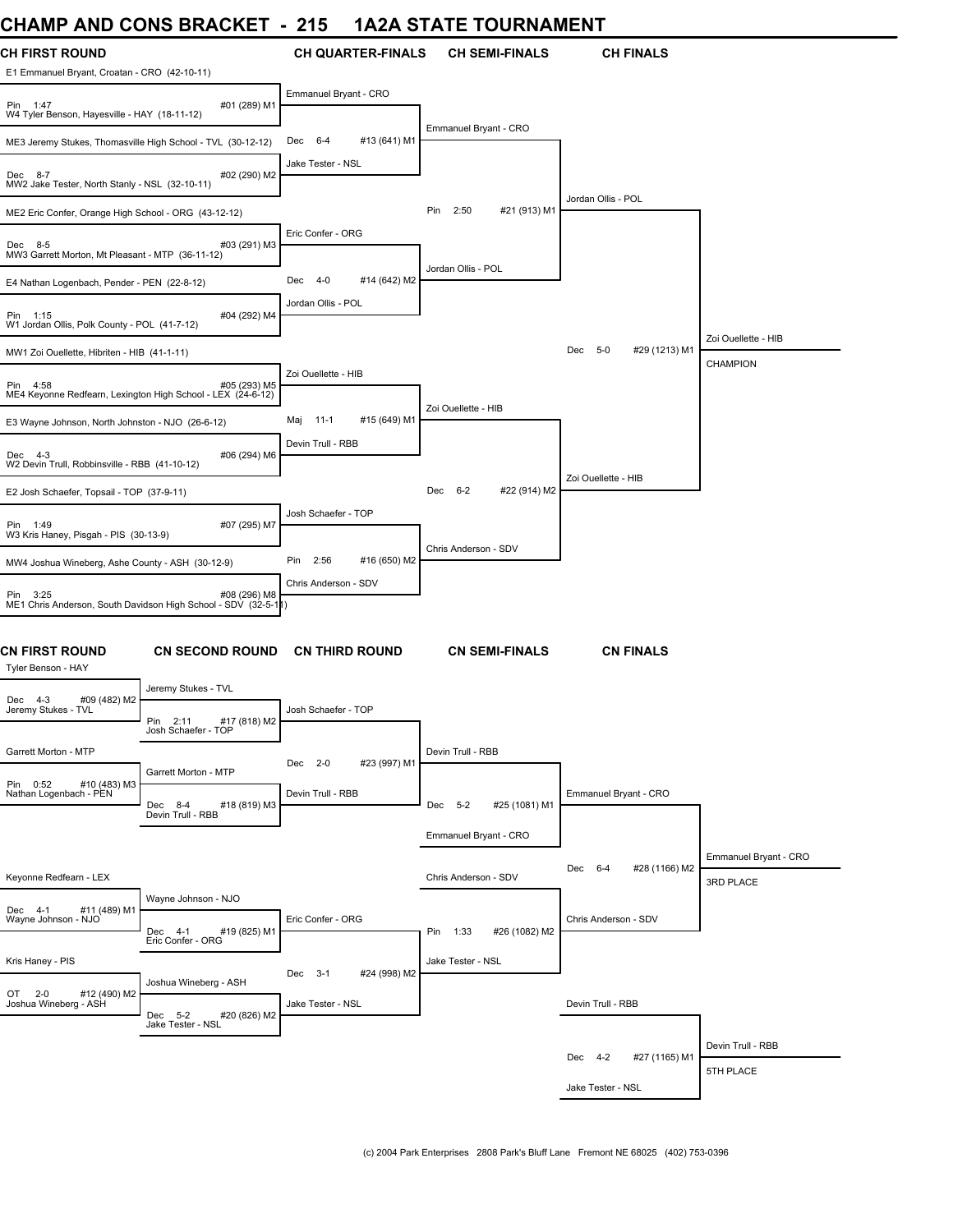## **CHAMP AND CONS BRACKET - 215 1A2A STATE TOURNAMENT**

| וויורו וכ<br><b>AITU</b>                                                                 | ו בטרעט שווט                                 |                                | IAZA UTATE TUURRAMER        |                          |                       |
|------------------------------------------------------------------------------------------|----------------------------------------------|--------------------------------|-----------------------------|--------------------------|-----------------------|
| <b>CH FIRST ROUND</b><br>E1 Emmanuel Bryant, Croatan - CRO (42-10-11)                    |                                              | <b>CH QUARTER-FINALS</b>       | <b>CH SEMI-FINALS</b>       | <b>CH FINALS</b>         |                       |
| #01 (289) M1<br>Pin 1:47<br>W4 Tyler Benson, Hayesville - HAY (18-11-12)                 |                                              | Emmanuel Bryant - CRO          |                             |                          |                       |
| ME3 Jeremy Stukes, Thomasville High School - TVL (30-12-12)                              |                                              | $6 - 4$<br>#13 (641) M1<br>Dec | Emmanuel Bryant - CRO       |                          |                       |
| #02 (290) M2<br>Dec 8-7<br>MW2 Jake Tester, North Stanly - NSL (32-10-11)                |                                              | Jake Tester - NSL              |                             |                          |                       |
|                                                                                          |                                              |                                | 2:50<br>#21 (913) M1<br>Pin | Jordan Ollis - POL       |                       |
| ME2 Eric Confer, Orange High School - ORG (43-12-12)                                     |                                              | Eric Confer - ORG              |                             |                          |                       |
| #03 (291) M3<br>Dec 8-5<br>MW3 Garrett Morton, Mt Pleasant - MTP (36-11-12)              |                                              |                                | Jordan Ollis - POL          |                          |                       |
| E4 Nathan Logenbach, Pender - PEN (22-8-12)                                              |                                              | 4-0<br>#14 (642) M2<br>Dec     |                             |                          |                       |
| Pin 1:15<br>W1 Jordan Ollis, Polk County - POL (41-7-12)                                 | #04 (292) M4                                 | Jordan Ollis - POL             |                             |                          |                       |
| MW1 Zoi Ouellette, Hibriten - HIB (41-1-11)                                              |                                              |                                |                             | Dec 5-0<br>#29 (1213) M1 | Zoi Ouellette - HIB   |
|                                                                                          |                                              | Zoi Ouellette - HIB            |                             |                          | CHAMPION              |
| Pin 4:58<br>ME4 Keyonne Redfearn, Lexington High School - LEX (24-6-12)                  | #05 (293) M5                                 |                                | Zoi Ouellette - HIB         |                          |                       |
| E3 Wayne Johnson, North Johnston - NJO (26-6-12)                                         |                                              | Maj 11-1<br>#15 (649) M1       |                             |                          |                       |
| #06 (294) M6<br>Dec 4-3<br>W2 Devin Trull, Robbinsville - RBB (41-10-12)                 |                                              | Devin Trull - RBB              |                             |                          |                       |
|                                                                                          |                                              |                                | Dec 6-2<br>#22 (914) M2     | Zoi Ouellette - HIB      |                       |
| E2 Josh Schaefer, Topsail - TOP (37-9-11)                                                |                                              | Josh Schaefer - TOP            |                             |                          |                       |
| Pin 1:49<br>W3 Kris Haney, Pisgah - PIS (30-13-9)                                        | #07 (295) M7                                 |                                |                             |                          |                       |
| MW4 Joshua Wineberg, Ashe County - ASH (30-12-9)                                         |                                              | Pin<br>2:56<br>#16 (650) M2    | Chris Anderson - SDV        |                          |                       |
|                                                                                          |                                              | Chris Anderson - SDV           |                             |                          |                       |
| Pin 3:25<br>#08 (296) M8<br>ME1 Chris Anderson, South Davidson High School - SDV (32-5-1 |                                              |                                |                             |                          |                       |
| <b>CN FIRST ROUND</b><br>Tyler Benson - HAY                                              | <b>CN SECOND ROUND</b>                       | <b>CN THIRD ROUND</b>          | <b>CN SEMI-FINALS</b>       | <b>CN FINALS</b>         |                       |
|                                                                                          | Jeremy Stukes - TVL                          |                                |                             |                          |                       |
| #09 (482) M2<br>Dec 4-3<br>Jeremy Stukes - TVL                                           | Pin 2:11<br>#17 (818) M2                     | Josh Schaefer - TOP            |                             |                          |                       |
|                                                                                          | Josh Schaefer - TOP                          |                                |                             |                          |                       |
| Garrett Morton - MTP                                                                     |                                              | Dec 2-0<br>#23 (997) M1        | Devin Trull - RBB           |                          |                       |
| Pin 0:52<br>#10 (483) M3                                                                 | Garrett Morton - MTP                         |                                |                             |                          |                       |
| Nathan Logenbach - PEN                                                                   | #18 (819) M3<br>Dec 8-4<br>Devin Trull - RBB | Devin Trull - RBB              | Dec 5-2<br>#25 (1081) M1    | Emmanuel Bryant - CRO    |                       |
|                                                                                          |                                              |                                | Emmanuel Bryant - CRO       |                          |                       |
|                                                                                          |                                              |                                |                             |                          | Emmanuel Bryant - CRO |
| Keyonne Redfearn - LEX                                                                   |                                              |                                | Chris Anderson - SDV        | Dec 6-4<br>#28 (1166) M2 | 3RD PLACE             |
| Dec 4-1<br>#11 (489) M1                                                                  | Wayne Johnson - NJO                          |                                |                             |                          |                       |
| Wayne Johnson - NJO                                                                      | #19 (825) M1<br>Dec 4-1                      | Eric Confer - ORG              | Pin 1:33<br>#26 (1082) M2   | Chris Anderson - SDV     |                       |
|                                                                                          | Eric Confer - ORG                            |                                |                             |                          |                       |
| Kris Haney - PIS                                                                         |                                              | #24 (998) M2<br>Dec 3-1        | Jake Tester - NSL           |                          |                       |
| OT 2-0<br>#12 (490) M2<br>Joshua Wineberg - ASH                                          | Joshua Wineberg - ASH                        | Jake Tester - NSL              |                             | Devin Trull - RBB        |                       |
|                                                                                          | #20 (826) M2<br>Dec 5-2<br>Jake Tester - NSL |                                |                             |                          |                       |
|                                                                                          |                                              |                                |                             |                          | Devin Trull - RBB     |
|                                                                                          |                                              |                                |                             | #27 (1165) M1<br>Dec 4-2 | 5TH PLACE             |
|                                                                                          |                                              |                                |                             | Jake Tester - NSL        |                       |
|                                                                                          |                                              |                                |                             |                          |                       |